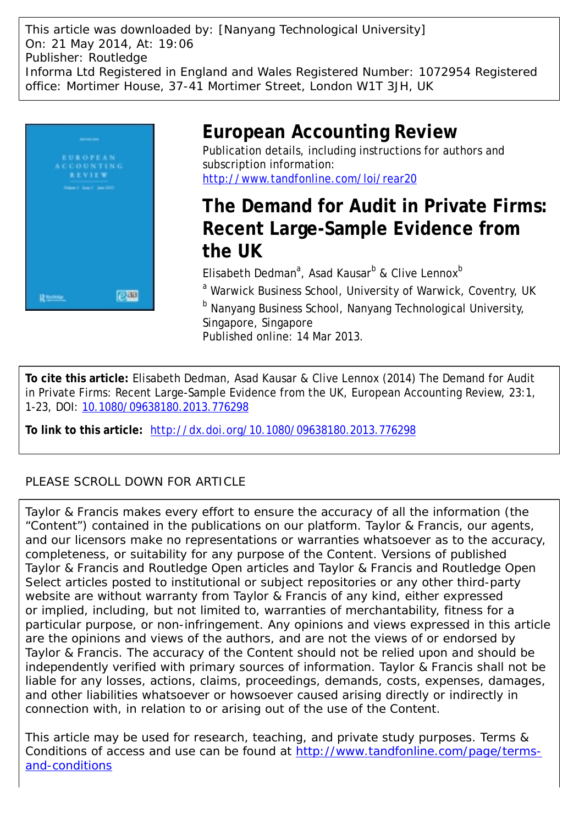This article was downloaded by: [Nanyang Technological University] On: 21 May 2014, At: 19:06 Publisher: Routledge Informa Ltd Registered in England and Wales Registered Number: 1072954 Registered office: Mortimer House, 37-41 Mortimer Street, London W1T 3JH, UK



# **European Accounting Review**

Publication details, including instructions for authors and subscription information: <http://www.tandfonline.com/loi/rear20>

# **The Demand for Audit in Private Firms: Recent Large-Sample Evidence from the UK**

Elisabeth Dedman<sup>a</sup>, Asad Kausar<sup>b</sup> & Clive Lennox<sup>b</sup>

<sup>a</sup> Warwick Business School, University of Warwick, Coventry, UK

**b Nanyang Business School, Nanyang Technological University,** Singapore, Singapore Published online: 14 Mar 2013.

**To cite this article:** Elisabeth Dedman, Asad Kausar & Clive Lennox (2014) The Demand for Audit in Private Firms: Recent Large-Sample Evidence from the UK, European Accounting Review, 23:1, 1-23, DOI: [10.1080/09638180.2013.776298](http://www.tandfonline.com/action/showCitFormats?doi=10.1080/09638180.2013.776298)

**To link to this article:** <http://dx.doi.org/10.1080/09638180.2013.776298>

# PLEASE SCROLL DOWN FOR ARTICLE

Taylor & Francis makes every effort to ensure the accuracy of all the information (the "Content") contained in the publications on our platform. Taylor & Francis, our agents, and our licensors make no representations or warranties whatsoever as to the accuracy, completeness, or suitability for any purpose of the Content. Versions of published Taylor & Francis and Routledge Open articles and Taylor & Francis and Routledge Open Select articles posted to institutional or subject repositories or any other third-party website are without warranty from Taylor & Francis of any kind, either expressed or implied, including, but not limited to, warranties of merchantability, fitness for a particular purpose, or non-infringement. Any opinions and views expressed in this article are the opinions and views of the authors, and are not the views of or endorsed by Taylor & Francis. The accuracy of the Content should not be relied upon and should be independently verified with primary sources of information. Taylor & Francis shall not be liable for any losses, actions, claims, proceedings, demands, costs, expenses, damages, and other liabilities whatsoever or howsoever caused arising directly or indirectly in connection with, in relation to or arising out of the use of the Content.

This article may be used for research, teaching, and private study purposes. Terms & Conditions of access and use can be found at [http://www.tandfonline.com/page/terms](http://www.tandfonline.com/page/terms-and-conditions)[and-conditions](http://www.tandfonline.com/page/terms-and-conditions)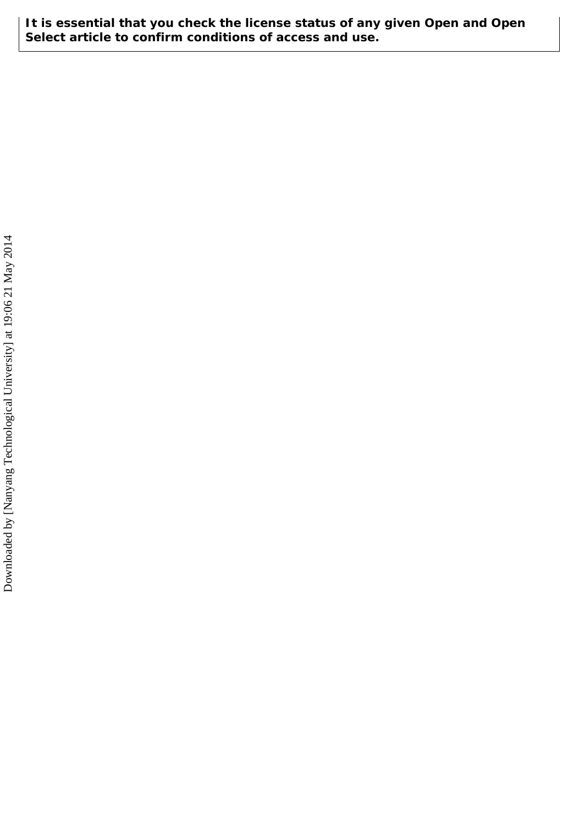**It is essential that you check the license status of any given Open and Open Select article to confirm conditions of access and use.**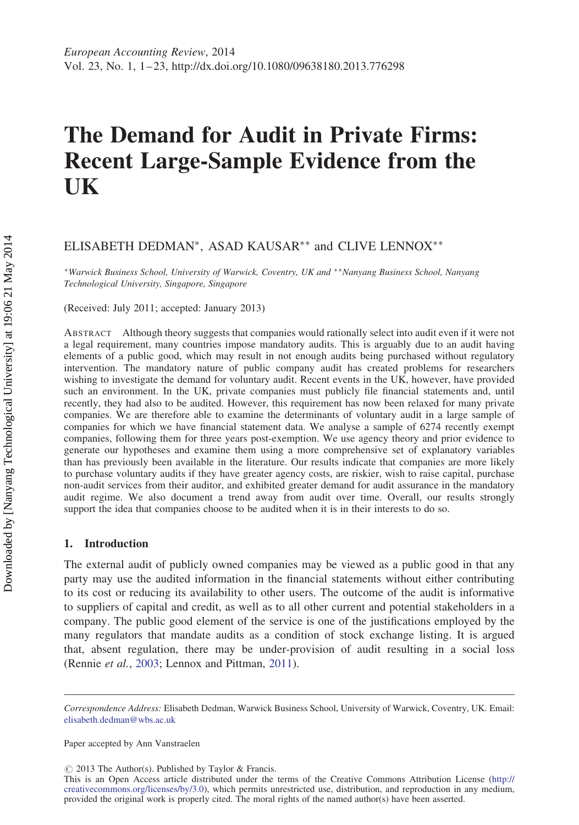# The Demand for Audit in Private Firms: Recent Large-Sample Evidence from the UK

# ELISABETH DEDMAN∗, ASAD KAUSAR∗∗ and CLIVE LENNOX∗∗

<sup>∗</sup>Warwick Business School, University of Warwick, Coventry, UK and ∗ ∗Nanyang Business School, Nanyang Technological University, Singapore, Singapore

(Received: July 2011; accepted: January 2013)

ABSTRACT Although theory suggests that companies would rationally select into audit even if it were not a legal requirement, many countries impose mandatory audits. This is arguably due to an audit having elements of a public good, which may result in not enough audits being purchased without regulatory intervention. The mandatory nature of public company audit has created problems for researchers wishing to investigate the demand for voluntary audit. Recent events in the UK, however, have provided such an environment. In the UK, private companies must publicly file financial statements and, until recently, they had also to be audited. However, this requirement has now been relaxed for many private companies. We are therefore able to examine the determinants of voluntary audit in a large sample of companies for which we have financial statement data. We analyse a sample of 6274 recently exempt companies, following them for three years post-exemption. We use agency theory and prior evidence to generate our hypotheses and examine them using a more comprehensive set of explanatory variables than has previously been available in the literature. Our results indicate that companies are more likely to purchase voluntary audits if they have greater agency costs, are riskier, wish to raise capital, purchase non-audit services from their auditor, and exhibited greater demand for audit assurance in the mandatory audit regime. We also document a trend away from audit over time. Overall, our results strongly support the idea that companies choose to be audited when it is in their interests to do so.

#### 1. Introduction

The external audit of publicly owned companies may be viewed as a public good in that any party may use the audited information in the financial statements without either contributing to its cost or reducing its availability to other users. The outcome of the audit is informative to suppliers of capital and credit, as well as to all other current and potential stakeholders in a company. The public good element of the service is one of the justifications employed by the many regulators that mandate audits as a condition of stock exchange listing. It is argued that, absent regulation, there may be under-provision of audit resulting in a social loss (Rennie et al., [2003;](#page-24-0) Lennox and Pittman, [2011](#page-24-0)).

Paper accepted by Ann Vanstraelen

Correspondence Address: Elisabeth Dedman, Warwick Business School, University of Warwick, Coventry, UK. Email: [elisabeth.dedman@wbs.ac.uk](mailto:elisabeth.dedman@wbs.ac.uk)

 $\odot$  2013 The Author(s). Published by Taylor & Francis.

This is an Open Access article distributed under the terms of the Creative Commons Attribution License [\(http://](http://creativecommons.org/licenses/by/3.0) [creativecommons.org/licenses/by/3.0\), which permits unrestricted use, distribution, and reproduction in any medium,](http://creativecommons.org/licenses/by/3.0) [provided the original work is properly cited. The moral rights of the named author\(s\) have been asserted.](http://creativecommons.org/licenses/by/3.0)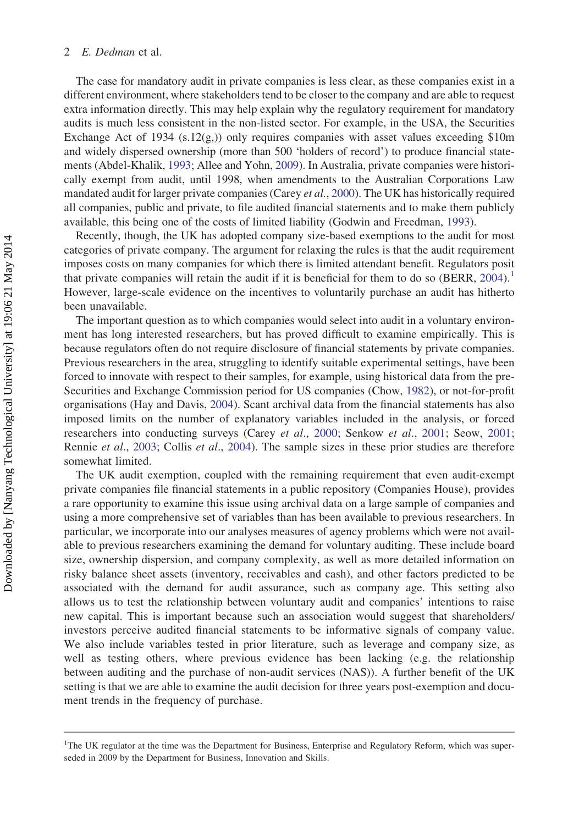#### 2 E. Dedman et al.

The case for mandatory audit in private companies is less clear, as these companies exist in a different environment, where stakeholders tend to be closer to the company and are able to request extra information directly. This may help explain why the regulatory requirement for mandatory audits is much less consistent in the non-listed sector. For example, in the USA, the Securities Exchange Act of 1934 (s.12(g,)) only requires companies with asset values exceeding  $$10m$ and widely dispersed ownership (more than 500 'holders of record') to produce financial statements (Abdel-Khalik, [1993;](#page-23-0) Allee and Yohn, [2009\)](#page-23-0). In Australia, private companies were historically exempt from audit, until 1998, when amendments to the Australian Corporations Law mandated audit for larger private companies (Carey et al., [2000](#page-23-0)). The UK has historically required all companies, public and private, to file audited financial statements and to make them publicly available, this being one of the costs of limited liability (Godwin and Freedman, [1993\)](#page-23-0).

Recently, though, the UK has adopted company size-based exemptions to the audit for most categories of private company. The argument for relaxing the rules is that the audit requirement imposes costs on many companies for which there is limited attendant benefit. Regulators posit that private companies will retain the audit if it is beneficial for them to do so  $(BERR, 2004)^1$  $(BERR, 2004)^1$  $(BERR, 2004)^1$ However, large-scale evidence on the incentives to voluntarily purchase an audit has hitherto been unavailable.

The important question as to which companies would select into audit in a voluntary environment has long interested researchers, but has proved difficult to examine empirically. This is because regulators often do not require disclosure of financial statements by private companies. Previous researchers in the area, struggling to identify suitable experimental settings, have been forced to innovate with respect to their samples, for example, using historical data from the pre-Securities and Exchange Commission period for US companies (Chow, [1982](#page-23-0)), or not-for-profit organisations (Hay and Davis, [2004](#page-24-0)). Scant archival data from the financial statements has also imposed limits on the number of explanatory variables included in the analysis, or forced researchers into conducting surveys (Carey et al., [2000;](#page-23-0) Senkow et al., [2001;](#page-24-0) Seow, 2001; Rennie et al., [2003](#page-24-0); Collis et al., [2004](#page-23-0)). The sample sizes in these prior studies are therefore somewhat limited.

The UK audit exemption, coupled with the remaining requirement that even audit-exempt private companies file financial statements in a public repository (Companies House), provides a rare opportunity to examine this issue using archival data on a large sample of companies and using a more comprehensive set of variables than has been available to previous researchers. In particular, we incorporate into our analyses measures of agency problems which were not available to previous researchers examining the demand for voluntary auditing. These include board size, ownership dispersion, and company complexity, as well as more detailed information on risky balance sheet assets (inventory, receivables and cash), and other factors predicted to be associated with the demand for audit assurance, such as company age. This setting also allows us to test the relationship between voluntary audit and companies' intentions to raise new capital. This is important because such an association would suggest that shareholders/ investors perceive audited financial statements to be informative signals of company value. We also include variables tested in prior literature, such as leverage and company size, as well as testing others, where previous evidence has been lacking (e.g. the relationship between auditing and the purchase of non-audit services (NAS)). A further benefit of the UK setting is that we are able to examine the audit decision for three years post-exemption and document trends in the frequency of purchase.

<sup>&</sup>lt;sup>1</sup>The UK regulator at the time was the Department for Business, Enterprise and Regulatory Reform, which was superseded in 2009 by the Department for Business, Innovation and Skills.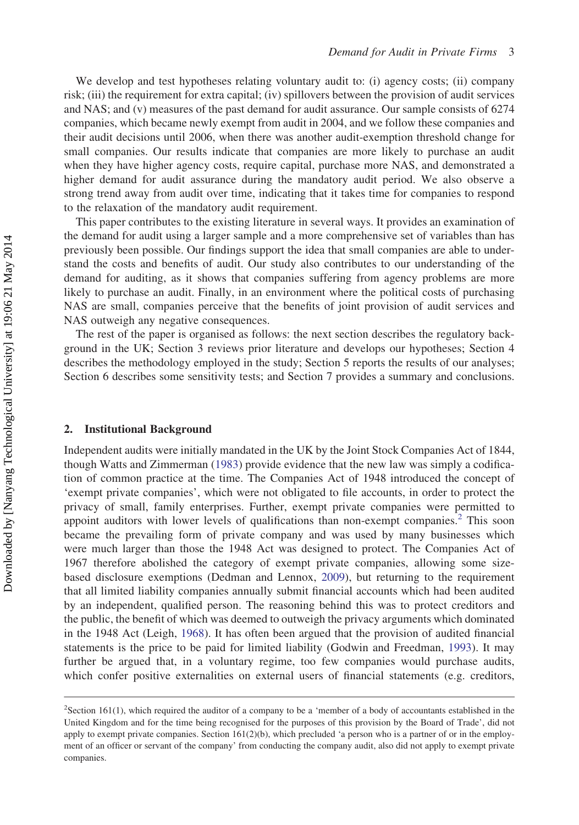We develop and test hypotheses relating voluntary audit to: (i) agency costs; (ii) company risk; (iii) the requirement for extra capital; (iv) spillovers between the provision of audit services and NAS; and (v) measures of the past demand for audit assurance. Our sample consists of 6274 companies, which became newly exempt from audit in 2004, and we follow these companies and their audit decisions until 2006, when there was another audit-exemption threshold change for small companies. Our results indicate that companies are more likely to purchase an audit when they have higher agency costs, require capital, purchase more NAS, and demonstrated a higher demand for audit assurance during the mandatory audit period. We also observe a strong trend away from audit over time, indicating that it takes time for companies to respond to the relaxation of the mandatory audit requirement.

This paper contributes to the existing literature in several ways. It provides an examination of the demand for audit using a larger sample and a more comprehensive set of variables than has previously been possible. Our findings support the idea that small companies are able to understand the costs and benefits of audit. Our study also contributes to our understanding of the demand for auditing, as it shows that companies suffering from agency problems are more likely to purchase an audit. Finally, in an environment where the political costs of purchasing NAS are small, companies perceive that the benefits of joint provision of audit services and NAS outweigh any negative consequences.

The rest of the paper is organised as follows: the next section describes the regulatory background in the UK; Section 3 reviews prior literature and develops our hypotheses; Section 4 describes the methodology employed in the study; Section 5 reports the results of our analyses; Section 6 describes some sensitivity tests; and Section 7 provides a summary and conclusions.

#### 2. Institutional Background

Independent audits were initially mandated in the UK by the Joint Stock Companies Act of 1844, though Watts and Zimmerman [\(1983](#page-24-0)) provide evidence that the new law was simply a codification of common practice at the time. The Companies Act of 1948 introduced the concept of 'exempt private companies', which were not obligated to file accounts, in order to protect the privacy of small, family enterprises. Further, exempt private companies were permitted to appoint auditors with lower levels of qualifications than non-exempt companies.<sup>2</sup> This soon became the prevailing form of private company and was used by many businesses which were much larger than those the 1948 Act was designed to protect. The Companies Act of 1967 therefore abolished the category of exempt private companies, allowing some sizebased disclosure exemptions (Dedman and Lennox, [2009\)](#page-23-0), but returning to the requirement that all limited liability companies annually submit financial accounts which had been audited by an independent, qualified person. The reasoning behind this was to protect creditors and the public, the benefit of which was deemed to outweigh the privacy arguments which dominated in the 1948 Act (Leigh, [1968](#page-24-0)). It has often been argued that the provision of audited financial statements is the price to be paid for limited liability (Godwin and Freedman, [1993](#page-23-0)). It may further be argued that, in a voluntary regime, too few companies would purchase audits, which confer positive externalities on external users of financial statements (e.g. creditors,

<sup>2</sup> Section 161(1), which required the auditor of a company to be a 'member of a body of accountants established in the United Kingdom and for the time being recognised for the purposes of this provision by the Board of Trade', did not apply to exempt private companies. Section  $161(2)(b)$ , which precluded 'a person who is a partner of or in the employment of an officer or servant of the company' from conducting the company audit, also did not apply to exempt private companies.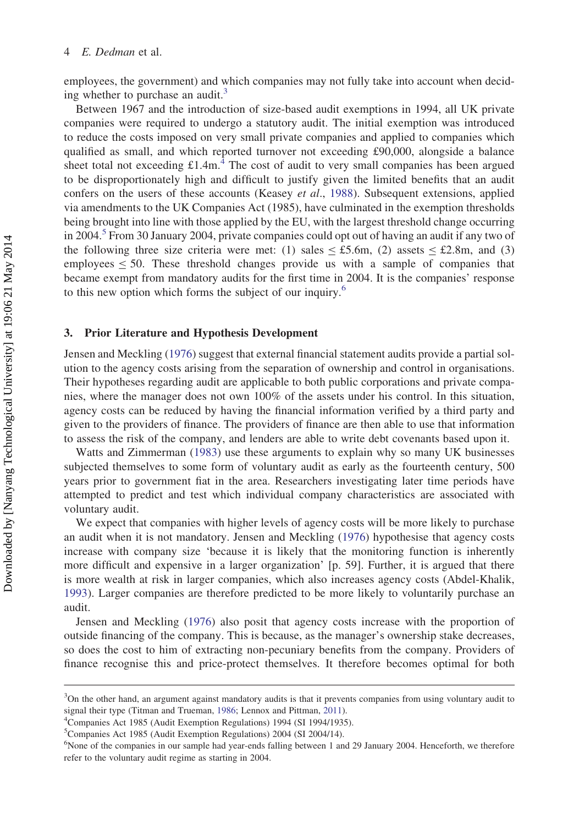employees, the government) and which companies may not fully take into account when deciding whether to purchase an audit.<sup>3</sup>

Between 1967 and the introduction of size-based audit exemptions in 1994, all UK private companies were required to undergo a statutory audit. The initial exemption was introduced to reduce the costs imposed on very small private companies and applied to companies which qualified as small, and which reported turnover not exceeding £90,000, alongside a balance sheet total not exceeding  $\pounds1.4m<sup>4</sup>$ . The cost of audit to very small companies has been argued to be disproportionately high and difficult to justify given the limited benefits that an audit confers on the users of these accounts (Keasey *et al.*, [1988](#page-24-0)). Subsequent extensions, applied via amendments to the UK Companies Act (1985), have culminated in the exemption thresholds being brought into line with those applied by the EU, with the largest threshold change occurring in 2004.<sup>5</sup> From 30 January 2004, private companies could opt out of having an audit if any two of the following three size criteria were met: (1) sales  $\leq$  £5.6m, (2) assets  $\leq$  £2.8m, and (3) employees  $\leq$  50. These threshold changes provide us with a sample of companies that became exempt from mandatory audits for the first time in 2004. It is the companies' response to this new option which forms the subject of our inquiry.<sup>6</sup>

#### 3. Prior Literature and Hypothesis Development

Jensen and Meckling ([1976\)](#page-24-0) suggest that external financial statement audits provide a partial solution to the agency costs arising from the separation of ownership and control in organisations. Their hypotheses regarding audit are applicable to both public corporations and private companies, where the manager does not own 100% of the assets under his control. In this situation, agency costs can be reduced by having the financial information verified by a third party and given to the providers of finance. The providers of finance are then able to use that information to assess the risk of the company, and lenders are able to write debt covenants based upon it.

Watts and Zimmerman [\(1983](#page-24-0)) use these arguments to explain why so many UK businesses subjected themselves to some form of voluntary audit as early as the fourteenth century, 500 years prior to government fiat in the area. Researchers investigating later time periods have attempted to predict and test which individual company characteristics are associated with voluntary audit.

We expect that companies with higher levels of agency costs will be more likely to purchase an audit when it is not mandatory. Jensen and Meckling ([1976\)](#page-24-0) hypothesise that agency costs increase with company size 'because it is likely that the monitoring function is inherently more difficult and expensive in a larger organization' [p. 59]. Further, it is argued that there is more wealth at risk in larger companies, which also increases agency costs (Abdel-Khalik, [1993\)](#page-23-0). Larger companies are therefore predicted to be more likely to voluntarily purchase an audit.

Jensen and Meckling [\(1976](#page-24-0)) also posit that agency costs increase with the proportion of outside financing of the company. This is because, as the manager's ownership stake decreases, so does the cost to him of extracting non-pecuniary benefits from the company. Providers of finance recognise this and price-protect themselves. It therefore becomes optimal for both

<sup>&</sup>lt;sup>3</sup>On the other hand, an argument against mandatory audits is that it prevents companies from using voluntary audit to signal their type (Titman and Trueman, [1986;](#page-24-0) Lennox and Pittman, [2011\)](#page-24-0).

Companies Act 1985 (Audit Exemption Regulations) 1994 (SI 1994/1935).

<sup>5</sup> Companies Act 1985 (Audit Exemption Regulations) 2004 (SI 2004/14).

<sup>6</sup> None of the companies in our sample had year-ends falling between 1 and 29 January 2004. Henceforth, we therefore refer to the voluntary audit regime as starting in 2004.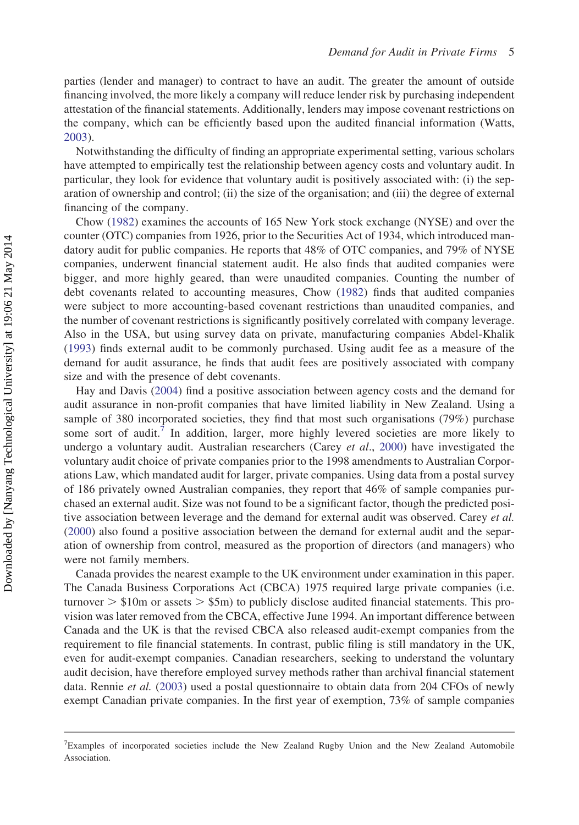parties (lender and manager) to contract to have an audit. The greater the amount of outside financing involved, the more likely a company will reduce lender risk by purchasing independent attestation of the financial statements. Additionally, lenders may impose covenant restrictions on the company, which can be efficiently based upon the audited financial information (Watts, [2003\)](#page-24-0).

Notwithstanding the difficulty of finding an appropriate experimental setting, various scholars have attempted to empirically test the relationship between agency costs and voluntary audit. In particular, they look for evidence that voluntary audit is positively associated with: (i) the separation of ownership and control; (ii) the size of the organisation; and (iii) the degree of external financing of the company.

Chow ([1982\)](#page-23-0) examines the accounts of 165 New York stock exchange (NYSE) and over the counter (OTC) companies from 1926, prior to the Securities Act of 1934, which introduced mandatory audit for public companies. He reports that 48% of OTC companies, and 79% of NYSE companies, underwent financial statement audit. He also finds that audited companies were bigger, and more highly geared, than were unaudited companies. Counting the number of debt covenants related to accounting measures, Chow [\(1982](#page-23-0)) finds that audited companies were subject to more accounting-based covenant restrictions than unaudited companies, and the number of covenant restrictions is significantly positively correlated with company leverage. Also in the USA, but using survey data on private, manufacturing companies Abdel-Khalik ([1993\)](#page-23-0) finds external audit to be commonly purchased. Using audit fee as a measure of the demand for audit assurance, he finds that audit fees are positively associated with company size and with the presence of debt covenants.

Hay and Davis ([2004\)](#page-24-0) find a positive association between agency costs and the demand for audit assurance in non-profit companies that have limited liability in New Zealand. Using a sample of 380 incorporated societies, they find that most such organisations (79%) purchase some sort of audit.<sup>7</sup> In addition, larger, more highly levered societies are more likely to undergo a voluntary audit. Australian researchers (Carey *et al.*, [2000](#page-23-0)) have investigated the voluntary audit choice of private companies prior to the 1998 amendments to Australian Corporations Law, which mandated audit for larger, private companies. Using data from a postal survey of 186 privately owned Australian companies, they report that 46% of sample companies purchased an external audit. Size was not found to be a significant factor, though the predicted positive association between leverage and the demand for external audit was observed. Carey *et al.* ([2000\)](#page-23-0) also found a positive association between the demand for external audit and the separation of ownership from control, measured as the proportion of directors (and managers) who were not family members.

Canada provides the nearest example to the UK environment under examination in this paper. The Canada Business Corporations Act (CBCA) 1975 required large private companies (i.e. turnover  $> $10$ m or assets  $> $5$ m) to publicly disclose audited financial statements. This provision was later removed from the CBCA, effective June 1994. An important difference between Canada and the UK is that the revised CBCA also released audit-exempt companies from the requirement to file financial statements. In contrast, public filing is still mandatory in the UK, even for audit-exempt companies. Canadian researchers, seeking to understand the voluntary audit decision, have therefore employed survey methods rather than archival financial statement data. Rennie *et al.* ([2003](#page-24-0)) used a postal questionnaire to obtain data from 204 CFOs of newly exempt Canadian private companies. In the first year of exemption, 73% of sample companies

<sup>7</sup> Examples of incorporated societies include the New Zealand Rugby Union and the New Zealand Automobile Association.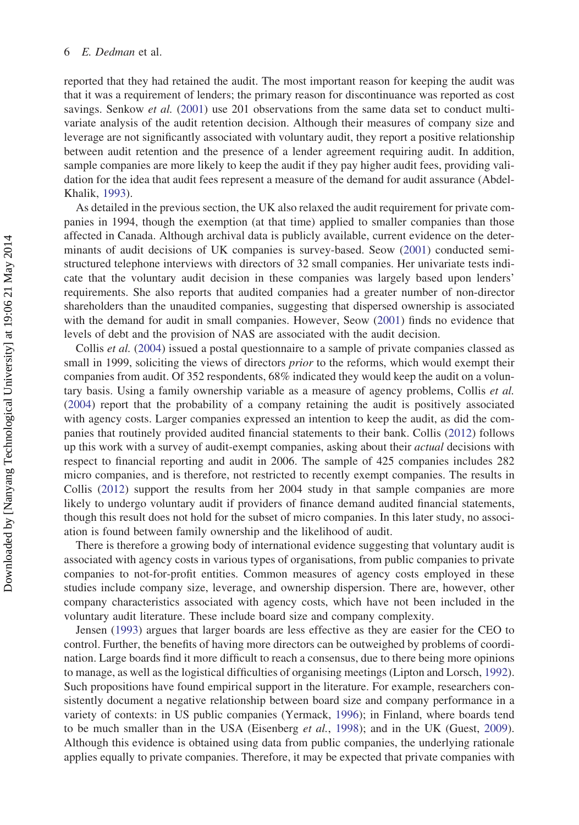#### 6 E. Dedman et al.

reported that they had retained the audit. The most important reason for keeping the audit was that it was a requirement of lenders; the primary reason for discontinuance was reported as cost savings. Senkow *et al.* [\(2001\)](#page-24-0) use 201 observations from the same data set to conduct multivariate analysis of the audit retention decision. Although their measures of company size and leverage are not significantly associated with voluntary audit, they report a positive relationship between audit retention and the presence of a lender agreement requiring audit. In addition, sample companies are more likely to keep the audit if they pay higher audit fees, providing validation for the idea that audit fees represent a measure of the demand for audit assurance (Abdel-Khalik, [1993](#page-23-0)).

As detailed in the previous section, the UK also relaxed the audit requirement for private companies in 1994, though the exemption (at that time) applied to smaller companies than those affected in Canada. Although archival data is publicly available, current evidence on the determinants of audit decisions of UK companies is survey-based. Seow ([2001\)](#page-24-0) conducted semistructured telephone interviews with directors of 32 small companies. Her univariate tests indicate that the voluntary audit decision in these companies was largely based upon lenders' requirements. She also reports that audited companies had a greater number of non-director shareholders than the unaudited companies, suggesting that dispersed ownership is associated with the demand for audit in small companies. However, Seow ([2001\)](#page-24-0) finds no evidence that levels of debt and the provision of NAS are associated with the audit decision.

Collis et al. ([2004\)](#page-23-0) issued a postal questionnaire to a sample of private companies classed as small in 1999, soliciting the views of directors *prior* to the reforms, which would exempt their companies from audit. Of 352 respondents, 68% indicated they would keep the audit on a voluntary basis. Using a family ownership variable as a measure of agency problems, Collis et al. ([2004\)](#page-23-0) report that the probability of a company retaining the audit is positively associated with agency costs. Larger companies expressed an intention to keep the audit, as did the companies that routinely provided audited financial statements to their bank. Collis [\(2012](#page-23-0)) follows up this work with a survey of audit-exempt companies, asking about their *actual* decisions with respect to financial reporting and audit in 2006. The sample of 425 companies includes 282 micro companies, and is therefore, not restricted to recently exempt companies. The results in Collis [\(2012](#page-23-0)) support the results from her 2004 study in that sample companies are more likely to undergo voluntary audit if providers of finance demand audited financial statements, though this result does not hold for the subset of micro companies. In this later study, no association is found between family ownership and the likelihood of audit.

There is therefore a growing body of international evidence suggesting that voluntary audit is associated with agency costs in various types of organisations, from public companies to private companies to not-for-profit entities. Common measures of agency costs employed in these studies include company size, leverage, and ownership dispersion. There are, however, other company characteristics associated with agency costs, which have not been included in the voluntary audit literature. These include board size and company complexity.

Jensen ([1993\)](#page-24-0) argues that larger boards are less effective as they are easier for the CEO to control. Further, the benefits of having more directors can be outweighed by problems of coordination. Large boards find it more difficult to reach a consensus, due to there being more opinions to manage, as well as the logistical difficulties of organising meetings (Lipton and Lorsch, [1992\)](#page-24-0). Such propositions have found empirical support in the literature. For example, researchers consistently document a negative relationship between board size and company performance in a variety of contexts: in US public companies (Yermack, [1996\)](#page-24-0); in Finland, where boards tend to be much smaller than in the USA (Eisenberg et al., [1998\)](#page-23-0); and in the UK (Guest, [2009\)](#page-24-0). Although this evidence is obtained using data from public companies, the underlying rationale applies equally to private companies. Therefore, it may be expected that private companies with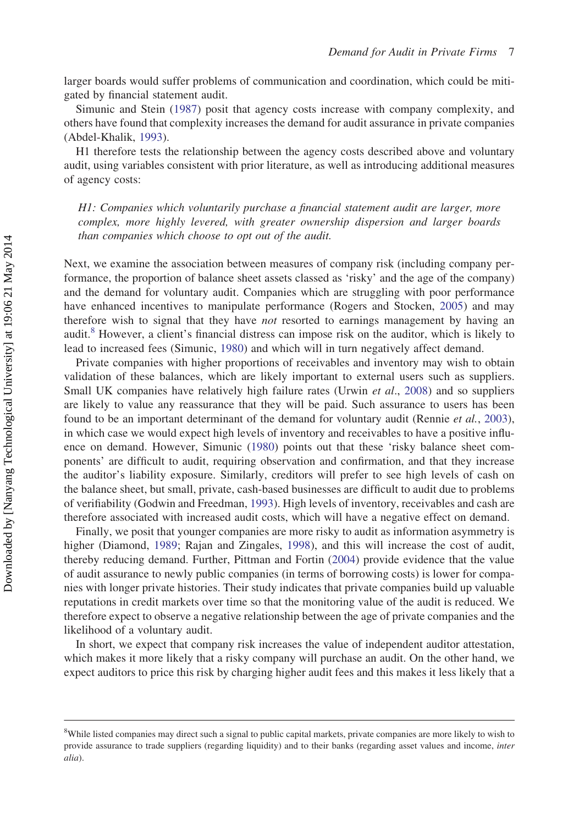larger boards would suffer problems of communication and coordination, which could be mitigated by financial statement audit.

Simunic and Stein [\(1987](#page-24-0)) posit that agency costs increase with company complexity, and others have found that complexity increases the demand for audit assurance in private companies (Abdel-Khalik, [1993\)](#page-23-0).

H1 therefore tests the relationship between the agency costs described above and voluntary audit, using variables consistent with prior literature, as well as introducing additional measures of agency costs:

H1: Companies which voluntarily purchase a financial statement audit are larger, more complex, more highly levered, with greater ownership dispersion and larger boards than companies which choose to opt out of the audit.

Next, we examine the association between measures of company risk (including company performance, the proportion of balance sheet assets classed as 'risky' and the age of the company) and the demand for voluntary audit. Companies which are struggling with poor performance have enhanced incentives to manipulate performance (Rogers and Stocken, [2005\)](#page-24-0) and may therefore wish to signal that they have *not* resorted to earnings management by having an audit.<sup>8</sup> However, a client's financial distress can impose risk on the auditor, which is likely to lead to increased fees (Simunic, [1980\)](#page-24-0) and which will in turn negatively affect demand.

Private companies with higher proportions of receivables and inventory may wish to obtain validation of these balances, which are likely important to external users such as suppliers. Small UK companies have relatively high failure rates (Urwin *et al.*, [2008\)](#page-24-0) and so suppliers are likely to value any reassurance that they will be paid. Such assurance to users has been found to be an important determinant of the demand for voluntary audit (Rennie et al., [2003\)](#page-24-0), in which case we would expect high levels of inventory and receivables to have a positive influ-ence on demand. However, Simunic ([1980\)](#page-24-0) points out that these 'risky balance sheet components' are difficult to audit, requiring observation and confirmation, and that they increase the auditor's liability exposure. Similarly, creditors will prefer to see high levels of cash on the balance sheet, but small, private, cash-based businesses are difficult to audit due to problems of verifiability (Godwin and Freedman, [1993](#page-23-0)). High levels of inventory, receivables and cash are therefore associated with increased audit costs, which will have a negative effect on demand.

Finally, we posit that younger companies are more risky to audit as information asymmetry is higher (Diamond, [1989](#page-23-0); Rajan and Zingales, [1998\)](#page-24-0), and this will increase the cost of audit, thereby reducing demand. Further, Pittman and Fortin [\(2004](#page-24-0)) provide evidence that the value of audit assurance to newly public companies (in terms of borrowing costs) is lower for companies with longer private histories. Their study indicates that private companies build up valuable reputations in credit markets over time so that the monitoring value of the audit is reduced. We therefore expect to observe a negative relationship between the age of private companies and the likelihood of a voluntary audit.

In short, we expect that company risk increases the value of independent auditor attestation, which makes it more likely that a risky company will purchase an audit. On the other hand, we expect auditors to price this risk by charging higher audit fees and this makes it less likely that a

<sup>&</sup>lt;sup>8</sup>While listed companies may direct such a signal to public capital markets, private companies are more likely to wish to provide assurance to trade suppliers (regarding liquidity) and to their banks (regarding asset values and income, inter alia).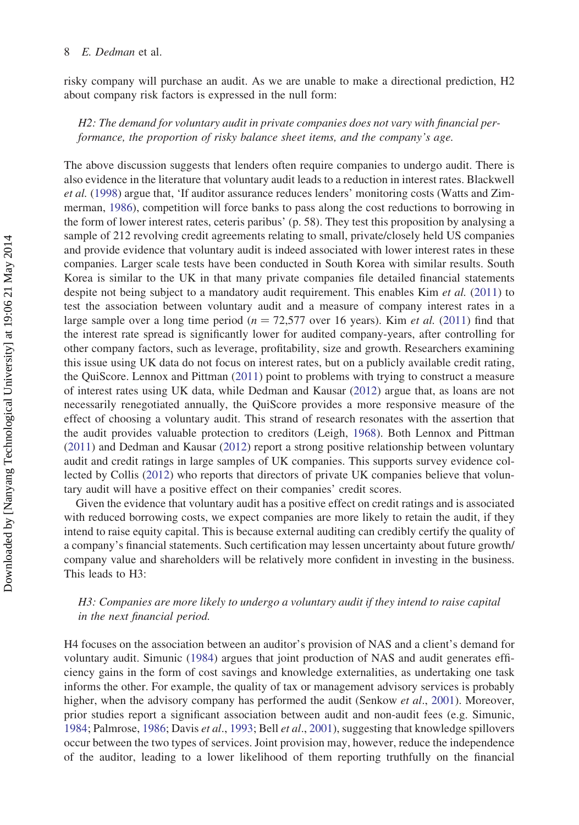#### 8 E. Dedman et al.

risky company will purchase an audit. As we are unable to make a directional prediction, H2 about company risk factors is expressed in the null form:

H2: The demand for voluntary audit in private companies does not vary with financial performance, the proportion of risky balance sheet items, and the company's age.

The above discussion suggests that lenders often require companies to undergo audit. There is also evidence in the literature that voluntary audit leads to a reduction in interest rates. Blackwell et al. [\(1998](#page-23-0)) argue that, 'If auditor assurance reduces lenders' monitoring costs (Watts and Zimmerman, [1986\)](#page-24-0), competition will force banks to pass along the cost reductions to borrowing in the form of lower interest rates, ceteris paribus' (p. 58). They test this proposition by analysing a sample of 212 revolving credit agreements relating to small, private/closely held US companies and provide evidence that voluntary audit is indeed associated with lower interest rates in these companies. Larger scale tests have been conducted in South Korea with similar results. South Korea is similar to the UK in that many private companies file detailed financial statements despite not being subject to a mandatory audit requirement. This enables Kim et al. [\(2011](#page-24-0)) to test the association between voluntary audit and a measure of company interest rates in a large sample over a long time period ( $n = 72,577$  over 16 years). Kim *et al.* ([2011\)](#page-24-0) find that the interest rate spread is significantly lower for audited company-years, after controlling for other company factors, such as leverage, profitability, size and growth. Researchers examining this issue using UK data do not focus on interest rates, but on a publicly available credit rating, the QuiScore. Lennox and Pittman ([2011\)](#page-24-0) point to problems with trying to construct a measure of interest rates using UK data, while Dedman and Kausar [\(2012](#page-23-0)) argue that, as loans are not necessarily renegotiated annually, the QuiScore provides a more responsive measure of the effect of choosing a voluntary audit. This strand of research resonates with the assertion that the audit provides valuable protection to creditors (Leigh, [1968\)](#page-24-0). Both Lennox and Pittman ([2011\)](#page-24-0) and Dedman and Kausar [\(2012](#page-23-0)) report a strong positive relationship between voluntary audit and credit ratings in large samples of UK companies. This supports survey evidence collected by Collis ([2012\)](#page-23-0) who reports that directors of private UK companies believe that voluntary audit will have a positive effect on their companies' credit scores.

Given the evidence that voluntary audit has a positive effect on credit ratings and is associated with reduced borrowing costs, we expect companies are more likely to retain the audit, if they intend to raise equity capital. This is because external auditing can credibly certify the quality of a company's financial statements. Such certification may lessen uncertainty about future growth/ company value and shareholders will be relatively more confident in investing in the business. This leads to H3:

# H3: Companies are more likely to undergo a voluntary audit if they intend to raise capital in the next financial period.

H4 focuses on the association between an auditor's provision of NAS and a client's demand for voluntary audit. Simunic [\(1984](#page-24-0)) argues that joint production of NAS and audit generates efficiency gains in the form of cost savings and knowledge externalities, as undertaking one task informs the other. For example, the quality of tax or management advisory services is probably higher, when the advisory company has performed the audit (Senkow *et al.*, [2001\)](#page-24-0). Moreover, prior studies report a significant association between audit and non-audit fees (e.g. Simunic, [1984;](#page-24-0) Palmrose, [1986](#page-24-0); Davis et al., [1993;](#page-23-0) Bell et al., [2001\)](#page-23-0), suggesting that knowledge spillovers occur between the two types of services. Joint provision may, however, reduce the independence of the auditor, leading to a lower likelihood of them reporting truthfully on the financial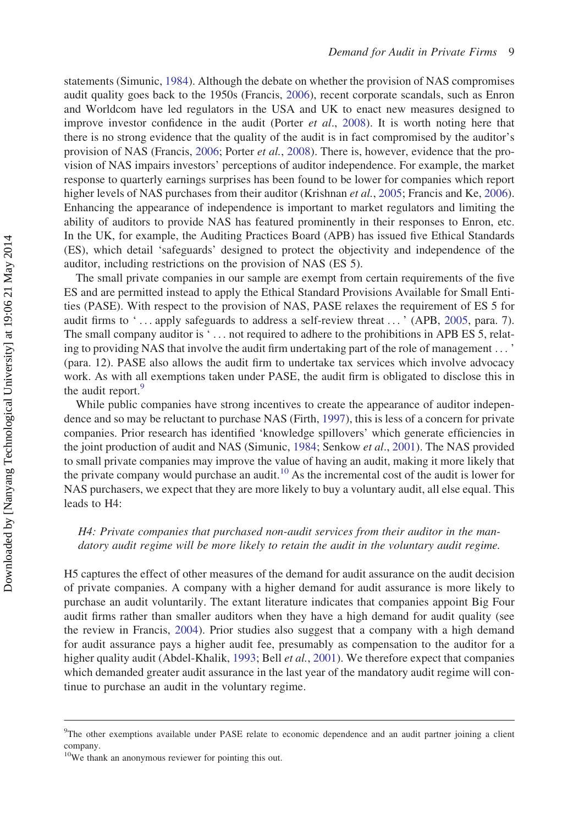statements (Simunic, [1984\)](#page-24-0). Although the debate on whether the provision of NAS compromises audit quality goes back to the 1950s (Francis, [2006](#page-23-0)), recent corporate scandals, such as Enron and Worldcom have led regulators in the USA and UK to enact new measures designed to improve investor confidence in the audit (Porter *et al.*, [2008\)](#page-24-0). It is worth noting here that there is no strong evidence that the quality of the audit is in fact compromised by the auditor's provision of NAS (Francis, [2006;](#page-23-0) Porter et al., [2008\)](#page-24-0). There is, however, evidence that the provision of NAS impairs investors' perceptions of auditor independence. For example, the market response to quarterly earnings surprises has been found to be lower for companies which report higher levels of NAS purchases from their auditor (Krishnan *et al.*, [2005;](#page-24-0) Francis and Ke, [2006\)](#page-23-0). Enhancing the appearance of independence is important to market regulators and limiting the ability of auditors to provide NAS has featured prominently in their responses to Enron, etc. In the UK, for example, the Auditing Practices Board (APB) has issued five Ethical Standards (ES), which detail 'safeguards' designed to protect the objectivity and independence of the auditor, including restrictions on the provision of NAS (ES 5).

The small private companies in our sample are exempt from certain requirements of the five ES and are permitted instead to apply the Ethical Standard Provisions Available for Small Entities (PASE). With respect to the provision of NAS, PASE relaxes the requirement of ES 5 for audit firms to ' ... apply safeguards to address a self-review threat ... ' (APB, [2005,](#page-23-0) para. 7). The small company auditor is '... not required to adhere to the prohibitions in APB ES 5, relating to providing NAS that involve the audit firm undertaking part of the role of management ... ' (para. 12). PASE also allows the audit firm to undertake tax services which involve advocacy work. As with all exemptions taken under PASE, the audit firm is obligated to disclose this in the audit report.<sup>9</sup>

While public companies have strong incentives to create the appearance of auditor independence and so may be reluctant to purchase NAS (Firth, [1997\)](#page-23-0), this is less of a concern for private companies. Prior research has identified 'knowledge spillovers' which generate efficiencies in the joint production of audit and NAS (Simunic, [1984;](#page-24-0) Senkow et al., [2001\)](#page-24-0). The NAS provided to small private companies may improve the value of having an audit, making it more likely that the private company would purchase an audit.<sup>10</sup> As the incremental cost of the audit is lower for NAS purchasers, we expect that they are more likely to buy a voluntary audit, all else equal. This leads to H4:

# H4: Private companies that purchased non-audit services from their auditor in the mandatory audit regime will be more likely to retain the audit in the voluntary audit regime.

H5 captures the effect of other measures of the demand for audit assurance on the audit decision of private companies. A company with a higher demand for audit assurance is more likely to purchase an audit voluntarily. The extant literature indicates that companies appoint Big Four audit firms rather than smaller auditors when they have a high demand for audit quality (see the review in Francis, [2004](#page-23-0)). Prior studies also suggest that a company with a high demand for audit assurance pays a higher audit fee, presumably as compensation to the auditor for a higher quality audit (Abdel-Khalik, [1993](#page-23-0); Bell *et al.*, [2001\)](#page-23-0). We therefore expect that companies which demanded greater audit assurance in the last year of the mandatory audit regime will continue to purchase an audit in the voluntary regime.

<sup>&</sup>lt;sup>9</sup>The other exemptions available under PASE relate to economic dependence and an audit partner joining a client company.

<sup>10</sup>We thank an anonymous reviewer for pointing this out.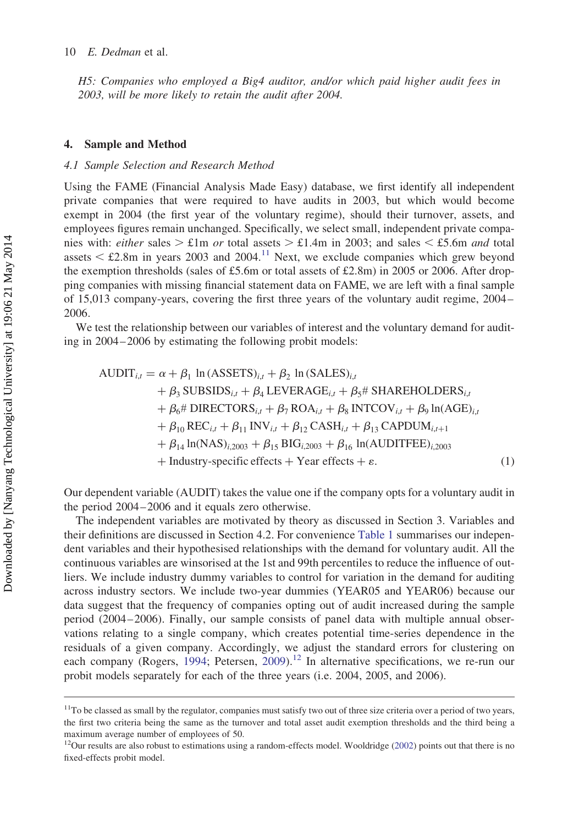H5: Companies who employed a Big4 auditor, and/or which paid higher audit fees in 2003, will be more likely to retain the audit after 2004.

#### 4. Sample and Method

#### 4.1 Sample Selection and Research Method

Using the FAME (Financial Analysis Made Easy) database, we first identify all independent private companies that were required to have audits in 2003, but which would become exempt in 2004 (the first year of the voluntary regime), should their turnover, assets, and employees figures remain unchanged. Specifically, we select small, independent private companies with: *either* sales  $> \text{\textsterling}1m$  or total assets  $> \text{\textsterling}1.4m$  in 2003; and sales  $< \text{\textsterling}5.6m$  *and* total assets  $\leq$  £2.8m in years 2003 and 2004.<sup>11</sup> Next, we exclude companies which grew beyond the exemption thresholds (sales of £5.6m or total assets of £2.8m) in 2005 or 2006. After dropping companies with missing financial statement data on FAME, we are left with a final sample of 15,013 company-years, covering the first three years of the voluntary audit regime, 2004 – 2006.

We test the relationship between our variables of interest and the voluntary demand for auditing in 2004 – 2006 by estimating the following probit models:

$$
\begin{aligned}\n\text{AUDIT}_{i,t} &= \alpha + \beta_1 \ln(\text{ASSETS})_{i,t} + \beta_2 \ln(\text{SALES})_{i,t} \\
&+ \beta_3 \text{SUBSIDS}_{i,t} + \beta_4 \text{LEVERAGE}_{i,t} + \beta_5 \# \text{SHAREHOLDERS}_{i,t} \\
&+ \beta_6 \# \text{DIRECTORS}_{i,t} + \beta_7 \text{ROA}_{i,t} + \beta_8 \text{INTCOV}_{i,t} + \beta_9 \ln(\text{AGE})_{i,t} \\
&+ \beta_{10} \text{REC}_{i,t} + \beta_{11} \text{INV}_{i,t} + \beta_{12} \text{CASH}_{i,t} + \beta_{13} \text{CAPDUM}_{i,t+1} \\
&+ \beta_{14} \ln(\text{NAS})_{i,2003} + \beta_{15} \text{BIG}_{i,2003} + \beta_{16} \ln(\text{AUDITEE})_{i,2003} \\
&+ \text{Industry-specific effects} + \text{Year effects} + \varepsilon.\n\end{aligned}\n\tag{1}
$$

Our dependent variable (AUDIT) takes the value one if the company opts for a voluntary audit in the period 2004– 2006 and it equals zero otherwise.

The independent variables are motivated by theory as discussed in Section 3. Variables and their definitions are discussed in Section 4.2. For convenience [Table 1](#page-12-0) summarises our independent variables and their hypothesised relationships with the demand for voluntary audit. All the continuous variables are winsorised at the 1st and 99th percentiles to reduce the influence of outliers. We include industry dummy variables to control for variation in the demand for auditing across industry sectors. We include two-year dummies (YEAR05 and YEAR06) because our data suggest that the frequency of companies opting out of audit increased during the sample period (2004– 2006). Finally, our sample consists of panel data with multiple annual observations relating to a single company, which creates potential time-series dependence in the residuals of a given company. Accordingly, we adjust the standard errors for clustering on each company (Rogers, [1994](#page-24-0); Petersen, [2009\)](#page-24-0).<sup>12</sup> In alternative specifications, we re-run our probit models separately for each of the three years (i.e. 2004, 2005, and 2006).

<sup>&</sup>lt;sup>11</sup>To be classed as small by the regulator, companies must satisfy two out of three size criteria over a period of two years, the first two criteria being the same as the turnover and total asset audit exemption thresholds and the third being a maximum average number of employees of 50.

 $12$ Our results are also robust to estimations using a random-effects model. Wooldridge [\(2002](#page-24-0)) points out that there is no fixed-effects probit model.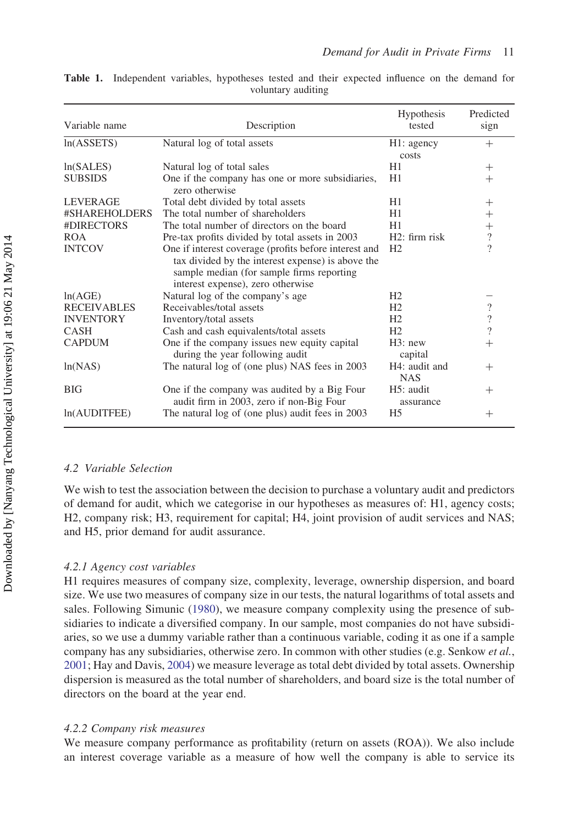| Variable name      | Description                                                                                                                         | <b>Hypothesis</b><br>tested | Predicted<br>sign        |
|--------------------|-------------------------------------------------------------------------------------------------------------------------------------|-----------------------------|--------------------------|
| ln(ASSETS)         |                                                                                                                                     |                             |                          |
|                    | Natural log of total assets                                                                                                         | H1: agency<br>costs         | $^{+}$                   |
| ln(SALES)          | Natural log of total sales                                                                                                          | H1                          |                          |
| <b>SUBSIDS</b>     |                                                                                                                                     | H1                          | $\pm$                    |
|                    | One if the company has one or more subsidiaries,<br>zero otherwise                                                                  |                             | $^{+}$                   |
| <b>LEVERAGE</b>    | Total debt divided by total assets                                                                                                  | H1                          | $\pm$                    |
| #SHAREHOLDERS      | The total number of shareholders                                                                                                    | H1                          | $^{+}$                   |
| #DIRECTORS         | The total number of directors on the board                                                                                          | H1                          | $^+$                     |
| <b>ROA</b>         | Pre-tax profits divided by total assets in 2003                                                                                     | $H2:$ firm risk             | $\overline{\mathcal{L}}$ |
| <b>INTCOV</b>      | One if interest coverage (profits before interest and                                                                               | H <sub>2</sub>              | $\gamma$                 |
|                    | tax divided by the interest expense) is above the<br>sample median (for sample firms reporting<br>interest expense), zero otherwise |                             |                          |
| ln(AGE)            | Natural log of the company's age                                                                                                    | H <sub>2</sub>              |                          |
| <b>RECEIVABLES</b> | Receivables/total assets                                                                                                            | H <sub>2</sub>              | $\overline{\mathcal{L}}$ |
| <b>INVENTORY</b>   | Inventory/total assets                                                                                                              | H <sub>2</sub>              | $\overline{\mathcal{L}}$ |
| <b>CASH</b>        | Cash and cash equivalents/total assets                                                                                              | H <sub>2</sub>              | $\overline{\cdot}$       |
| <b>CAPDUM</b>      | One if the company issues new equity capital                                                                                        | $H3:$ new                   | $^{+}$                   |
|                    | during the year following audit                                                                                                     | capital                     |                          |
| ln(NAS)            | The natural log of (one plus) NAS fees in 2003                                                                                      | H4: audit and<br><b>NAS</b> | $^{+}$                   |
| <b>BIG</b>         | One if the company was audited by a Big Four                                                                                        | H <sub>5</sub> : audit      | $\overline{+}$           |
|                    | audit firm in 2003, zero if non-Big Four                                                                                            | assurance                   |                          |
| ln(AUDITER)        | The natural log of (one plus) audit fees in 2003                                                                                    | H <sub>5</sub>              | $\hspace{0.1mm} +$       |

<span id="page-12-0"></span>Table 1. Independent variables, hypotheses tested and their expected influence on the demand for voluntary auditing

# 4.2 Variable Selection

We wish to test the association between the decision to purchase a voluntary audit and predictors of demand for audit, which we categorise in our hypotheses as measures of: H1, agency costs; H2, company risk; H3, requirement for capital; H4, joint provision of audit services and NAS; and H5, prior demand for audit assurance.

#### 4.2.1 Agency cost variables

H1 requires measures of company size, complexity, leverage, ownership dispersion, and board size. We use two measures of company size in our tests, the natural logarithms of total assets and sales. Following Simunic ([1980\)](#page-24-0), we measure company complexity using the presence of subsidiaries to indicate a diversified company. In our sample, most companies do not have subsidiaries, so we use a dummy variable rather than a continuous variable, coding it as one if a sample company has any subsidiaries, otherwise zero. In common with other studies (e.g. Senkow et al., [2001;](#page-24-0) Hay and Davis, [2004\)](#page-24-0) we measure leverage as total debt divided by total assets. Ownership dispersion is measured as the total number of shareholders, and board size is the total number of directors on the board at the year end.

#### 4.2.2 Company risk measures

We measure company performance as profitability (return on assets (ROA)). We also include an interest coverage variable as a measure of how well the company is able to service its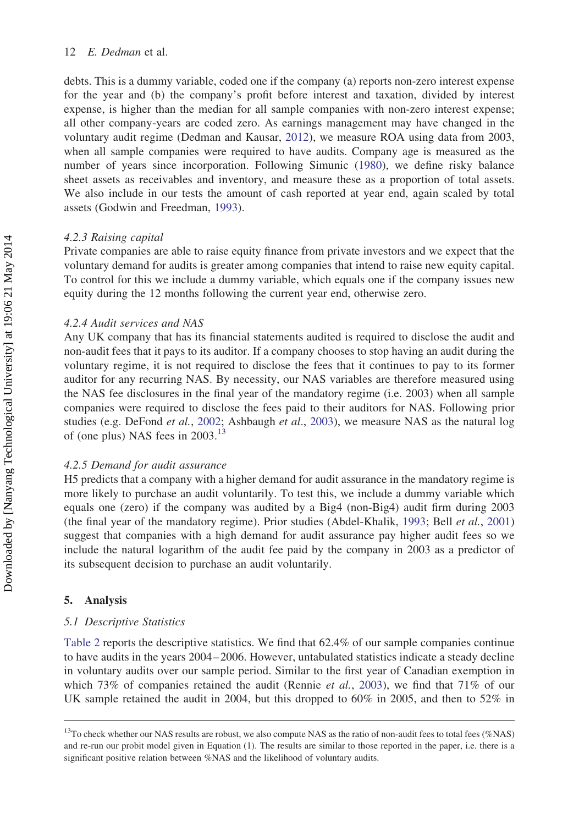debts. This is a dummy variable, coded one if the company (a) reports non-zero interest expense for the year and (b) the company's profit before interest and taxation, divided by interest expense, is higher than the median for all sample companies with non-zero interest expense; all other company-years are coded zero. As earnings management may have changed in the voluntary audit regime (Dedman and Kausar, [2012](#page-23-0)), we measure ROA using data from 2003, when all sample companies were required to have audits. Company age is measured as the number of years since incorporation. Following Simunic ([1980\)](#page-24-0), we define risky balance sheet assets as receivables and inventory, and measure these as a proportion of total assets. We also include in our tests the amount of cash reported at year end, again scaled by total assets (Godwin and Freedman, [1993\)](#page-23-0).

# 4.2.3 Raising capital

Private companies are able to raise equity finance from private investors and we expect that the voluntary demand for audits is greater among companies that intend to raise new equity capital. To control for this we include a dummy variable, which equals one if the company issues new equity during the 12 months following the current year end, otherwise zero.

#### 4.2.4 Audit services and NAS

Any UK company that has its financial statements audited is required to disclose the audit and non-audit fees that it pays to its auditor. If a company chooses to stop having an audit during the voluntary regime, it is not required to disclose the fees that it continues to pay to its former auditor for any recurring NAS. By necessity, our NAS variables are therefore measured using the NAS fee disclosures in the final year of the mandatory regime (i.e. 2003) when all sample companies were required to disclose the fees paid to their auditors for NAS. Following prior studies (e.g. DeFond *et al.*, [2002](#page-23-0); Ashbaugh *et al.*, [2003](#page-23-0)), we measure NAS as the natural log of (one plus) NAS fees in 2003.<sup>13</sup>

# 4.2.5 Demand for audit assurance

H5 predicts that a company with a higher demand for audit assurance in the mandatory regime is more likely to purchase an audit voluntarily. To test this, we include a dummy variable which equals one (zero) if the company was audited by a Big4 (non-Big4) audit firm during 2003 (the final year of the mandatory regime). Prior studies (Abdel-Khalik, [1993](#page-23-0); Bell et al., [2001](#page-23-0)) suggest that companies with a high demand for audit assurance pay higher audit fees so we include the natural logarithm of the audit fee paid by the company in 2003 as a predictor of its subsequent decision to purchase an audit voluntarily.

### 5. Analysis

# 5.1 Descriptive Statistics

[Table 2](#page-14-0) reports the descriptive statistics. We find that 62.4% of our sample companies continue to have audits in the years 2004 – 2006. However, untabulated statistics indicate a steady decline in voluntary audits over our sample period. Similar to the first year of Canadian exemption in which 73% of companies retained the audit (Rennie et al., [2003](#page-24-0)), we find that 71% of our UK sample retained the audit in 2004, but this dropped to 60% in 2005, and then to 52% in

 $13$ To check whether our NAS results are robust, we also compute NAS as the ratio of non-audit fees to total fees (%NAS) and re-run our probit model given in Equation (1). The results are similar to those reported in the paper, i.e. there is a significant positive relation between %NAS and the likelihood of voluntary audits.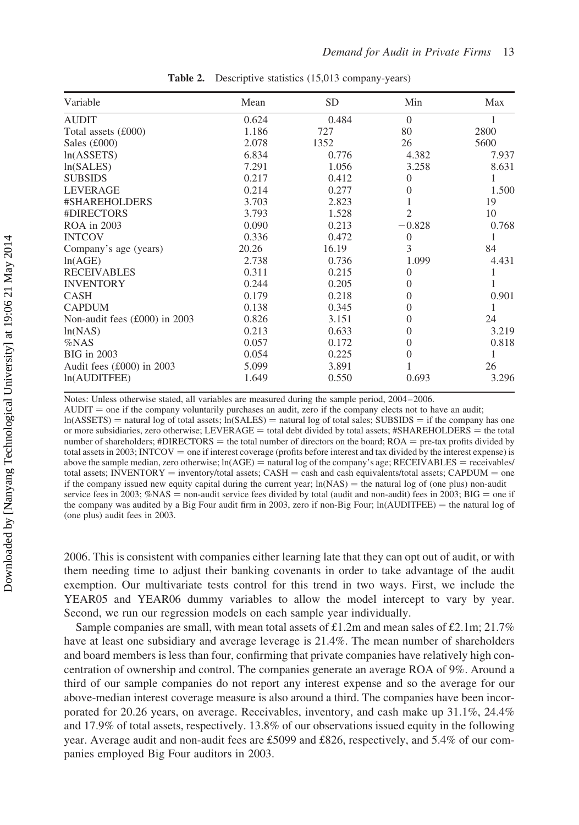<span id="page-14-0"></span>

| Variable                                 | Mean  | <b>SD</b> | Min            | Max   |
|------------------------------------------|-------|-----------|----------------|-------|
| <b>AUDIT</b>                             | 0.624 | 0.484     | $\Omega$       |       |
| Total assets (£000)                      | 1.186 | 727       | 80             | 2800  |
| Sales $(\text{\pounds}000)$              | 2.078 | 1352      | 26             | 5600  |
| ln(ASSETS)                               | 6.834 | 0.776     | 4.382          | 7.937 |
| ln(SALES)                                | 7.291 | 1.056     | 3.258          | 8.631 |
| <b>SUBSIDS</b>                           | 0.217 | 0.412     | $\theta$       |       |
| <b>LEVERAGE</b>                          | 0.214 | 0.277     | $\Omega$       | 1.500 |
| #SHAREHOLDERS                            | 3.703 | 2.823     |                | 19    |
| #DIRECTORS                               | 3.793 | 1.528     | $\overline{2}$ | 10    |
| ROA in 2003                              | 0.090 | 0.213     | $-0.828$       | 0.768 |
| <b>INTCOV</b>                            | 0.336 | 0.472     | $\overline{0}$ |       |
| Company's age (years)                    | 20.26 | 16.19     | 3              | 84    |
| ln(AGE)                                  | 2.738 | 0.736     | 1.099          | 4.431 |
| <b>RECEIVABLES</b>                       | 0.311 | 0.215     | $\theta$       |       |
| <b>INVENTORY</b>                         | 0.244 | 0.205     | $\Omega$       |       |
| <b>CASH</b>                              | 0.179 | 0.218     | $\Omega$       | 0.901 |
| <b>CAPDUM</b>                            | 0.138 | 0.345     | $\Omega$       |       |
| Non-audit fees (£000) in 2003            | 0.826 | 3.151     | $\Omega$       | 24    |
| ln(NAS)                                  | 0.213 | 0.633     | $\Omega$       | 3.219 |
| $%$ NAS                                  | 0.057 | 0.172     | $\Omega$       | 0.818 |
| <b>BIG</b> in 2003                       | 0.054 | 0.225     | $\Omega$       |       |
| Audit fees $(\text{\pounds}000)$ in 2003 | 5.099 | 3.891     |                | 26    |
| ln(AUDITER)                              | 1.649 | 0.550     | 0.693          | 3.296 |

Table 2. Descriptive statistics (15,013 company-years)

Notes: Unless otherwise stated, all variables are measured during the sample period, 2004–2006.

 $AUDIT =$  one if the company voluntarily purchases an audit, zero if the company elects not to have an audit;  $ln(ASSETS) =$  natural log of total assets;  $ln(SALES) =$  natural log of total sales; SUBSIDS = if the company has one or more subsidiaries, zero otherwise; LEVERAGE  $=$  total debt divided by total assets; #SHAREHOLDERS  $=$  the total number of shareholders;  $\#DIRECTORS =$  the total number of directors on the board;  $ROA =$  pre-tax profits divided by total assets in 2003; INTCOV = one if interest coverage (profits before interest and tax divided by the interest expense) is above the sample median, zero otherwise;  $ln(AGE)$  = natural log of the company's age; RECEIVABLES = receivables/ total assets;  $\text{INVENTORY} = \text{inventory/total assets}$ ;  $\text{CASH} = \text{cash and cash equivalents/total assets}$ ;  $\text{CAPDUM} = \text{one}$ if the company issued new equity capital during the current year;  $ln(NAS) =$  the natural log of (one plus) non-audit service fees in 2003;  $\%$ NAS = non-audit service fees divided by total (audit and non-audit) fees in 2003; BIG = one if the company was audited by a Big Four audit firm in 2003, zero if non-Big Four;  $ln(AUDITEEE) = the$  natural log of (one plus) audit fees in 2003.

2006. This is consistent with companies either learning late that they can opt out of audit, or with them needing time to adjust their banking covenants in order to take advantage of the audit exemption. Our multivariate tests control for this trend in two ways. First, we include the YEAR05 and YEAR06 dummy variables to allow the model intercept to vary by year. Second, we run our regression models on each sample year individually.

Sample companies are small, with mean total assets of £1.2m and mean sales of £2.1m; 21.7% have at least one subsidiary and average leverage is 21.4%. The mean number of shareholders and board members is less than four, confirming that private companies have relatively high concentration of ownership and control. The companies generate an average ROA of 9%. Around a third of our sample companies do not report any interest expense and so the average for our above-median interest coverage measure is also around a third. The companies have been incorporated for 20.26 years, on average. Receivables, inventory, and cash make up 31.1%, 24.4% and 17.9% of total assets, respectively. 13.8% of our observations issued equity in the following year. Average audit and non-audit fees are £5099 and £826, respectively, and 5.4% of our companies employed Big Four auditors in 2003.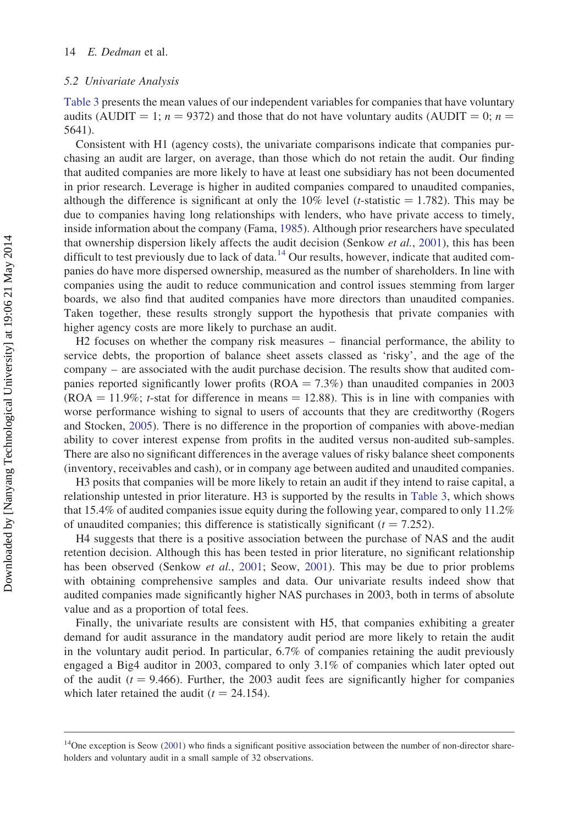#### 5.2 Univariate Analysis

[Table 3](#page-16-0) presents the mean values of our independent variables for companies that have voluntary audits (AUDIT = 1;  $n = 9372$ ) and those that do not have voluntary audits (AUDIT = 0;  $n =$ 5641).

Consistent with H1 (agency costs), the univariate comparisons indicate that companies purchasing an audit are larger, on average, than those which do not retain the audit. Our finding that audited companies are more likely to have at least one subsidiary has not been documented in prior research. Leverage is higher in audited companies compared to unaudited companies, although the difference is significant at only the  $10\%$  level (*t*-statistic  $= 1.782$ ). This may be due to companies having long relationships with lenders, who have private access to timely, inside information about the company (Fama, [1985](#page-23-0)). Although prior researchers have speculated that ownership dispersion likely affects the audit decision (Senkow *et al.*, [2001\)](#page-24-0), this has been difficult to test previously due to lack of data.<sup>14</sup> Our results, however, indicate that audited companies do have more dispersed ownership, measured as the number of shareholders. In line with companies using the audit to reduce communication and control issues stemming from larger boards, we also find that audited companies have more directors than unaudited companies. Taken together, these results strongly support the hypothesis that private companies with higher agency costs are more likely to purchase an audit.

H2 focuses on whether the company risk measures – financial performance, the ability to service debts, the proportion of balance sheet assets classed as 'risky', and the age of the company – are associated with the audit purchase decision. The results show that audited companies reported significantly lower profits ( $ROA = 7.3\%$ ) than unaudited companies in 2003  $(ROA = 11.9\%; t-stat for difference in means = 12.88)$ . This is in line with companies with worse performance wishing to signal to users of accounts that they are creditworthy (Rogers and Stocken, [2005\)](#page-24-0). There is no difference in the proportion of companies with above-median ability to cover interest expense from profits in the audited versus non-audited sub-samples. There are also no significant differences in the average values of risky balance sheet components (inventory, receivables and cash), or in company age between audited and unaudited companies.

H3 posits that companies will be more likely to retain an audit if they intend to raise capital, a relationship untested in prior literature. H3 is supported by the results in [Table 3](#page-16-0), which shows that 15.4% of audited companies issue equity during the following year, compared to only 11.2% of unaudited companies; this difference is statistically significant  $(t = 7.252)$ .

H4 suggests that there is a positive association between the purchase of NAS and the audit retention decision. Although this has been tested in prior literature, no significant relationship has been observed (Senkow *et al.*, [2001;](#page-24-0) Seow, [2001\)](#page-24-0). This may be due to prior problems with obtaining comprehensive samples and data. Our univariate results indeed show that audited companies made significantly higher NAS purchases in 2003, both in terms of absolute value and as a proportion of total fees.

Finally, the univariate results are consistent with H5, that companies exhibiting a greater demand for audit assurance in the mandatory audit period are more likely to retain the audit in the voluntary audit period. In particular, 6.7% of companies retaining the audit previously engaged a Big4 auditor in 2003, compared to only 3.1% of companies which later opted out of the audit ( $t = 9.466$ ). Further, the 2003 audit fees are significantly higher for companies which later retained the audit ( $t = 24.154$ ).

 $14$ One exception is Seow ([2001\)](#page-24-0) who finds a significant positive association between the number of non-director shareholders and voluntary audit in a small sample of 32 observations.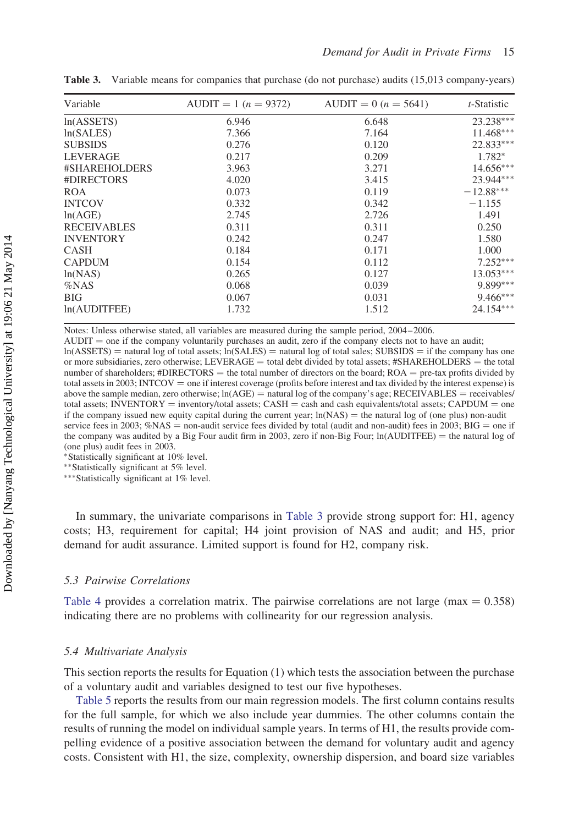| Variable           | $AUDIT = 1 (n = 9372)$ | $AUDIT = 0 (n = 5641)$ | t-Statistic |
|--------------------|------------------------|------------------------|-------------|
| ln(ASSETS)         | 6.946                  | 6.648                  | 23.238***   |
| ln(SALES)          | 7.366                  | 7.164                  | $11.468***$ |
| <b>SUBSIDS</b>     | 0.276                  | 0.120                  | 22.833***   |
| <b>LEVERAGE</b>    | 0.217                  | 0.209                  | 1.782*      |
| #SHAREHOLDERS      | 3.963                  | 3.271                  | $14.656***$ |
| #DIRECTORS         | 4.020                  | 3.415                  | 23.944***   |
| <b>ROA</b>         | 0.073                  | 0.119                  | $-12.88***$ |
| <b>INTCOV</b>      | 0.332                  | 0.342                  | $-1.155$    |
| ln(AGE)            | 2.745                  | 2.726                  | 1.491       |
| <b>RECEIVABLES</b> | 0.311                  | 0.311                  | 0.250       |
| <b>INVENTORY</b>   | 0.242                  | 0.247                  | 1.580       |
| <b>CASH</b>        | 0.184                  | 0.171                  | 1.000       |
| <b>CAPDUM</b>      | 0.154                  | 0.112                  | $7.252***$  |
| ln(NAS)            | 0.265                  | 0.127                  | $13.053***$ |
| $%$ NAS            | 0.068                  | 0.039                  | 9.899***    |
| <b>BIG</b>         | 0.067                  | 0.031                  | $9.466***$  |
| ln(AUDITER)        | 1.732                  | 1.512                  | 24.154***   |

<span id="page-16-0"></span>Table 3. Variable means for companies that purchase (do not purchase) audits (15,013 company-years)

Notes: Unless otherwise stated, all variables are measured during the sample period, 2004–2006.

 $AUDIT =$  one if the company voluntarily purchases an audit, zero if the company elects not to have an audit;  $ln(ASSETS) =$  natural log of total assets;  $ln(SALES) =$  natural log of total sales; SUBSIDS = if the company has one or more subsidiaries, zero otherwise; LEVERAGE = total debt divided by total assets;  $\#SHAREHOLDERS$  = the total number of shareholders;  $\#DIRECTORS$  = the total number of directors on the board;  $ROA$  = pre-tax profits divided by total assets in 2003; INTCOV = one if interest coverage (profits before interest and tax divided by the interest expense) is above the sample median, zero otherwise;  $ln(AGE) =$  natural log of the company's age; RECEIVABLES = receivables/ total assets; INVENTORY = inventory/total assets; CASH = cash and cash equivalents/total assets; CAPDUM = one if the company issued new equity capital during the current year;  $ln(NAS) =$  the natural log of (one plus) non-audit service fees in 2003;  $\%NAS =$  non-audit service fees divided by total (audit and non-audit) fees in 2003; BIG = one if the company was audited by a Big Four audit firm in 2003, zero if non-Big Four;  $ln(AUDITEEE) = the$  natural log of (one plus) audit fees in 2003.

<sup>∗</sup>Statistically significant at 10% level.

∗∗Statistically significant at 5% level.

∗∗∗Statistically significant at 1% level.

In summary, the univariate comparisons in Table 3 provide strong support for: H1, agency costs; H3, requirement for capital; H4 joint provision of NAS and audit; and H5, prior demand for audit assurance. Limited support is found for H2, company risk.

#### 5.3 Pairwise Correlations

[Table 4](#page-17-0) provides a correlation matrix. The pairwise correlations are not large (max  $= 0.358$ ) indicating there are no problems with collinearity for our regression analysis.

#### 5.4 Multivariate Analysis

This section reports the results for Equation (1) which tests the association between the purchase of a voluntary audit and variables designed to test our five hypotheses.

[Table 5](#page-18-0) reports the results from our main regression models. The first column contains results for the full sample, for which we also include year dummies. The other columns contain the results of running the model on individual sample years. In terms of H1, the results provide compelling evidence of a positive association between the demand for voluntary audit and agency costs. Consistent with H1, the size, complexity, ownership dispersion, and board size variables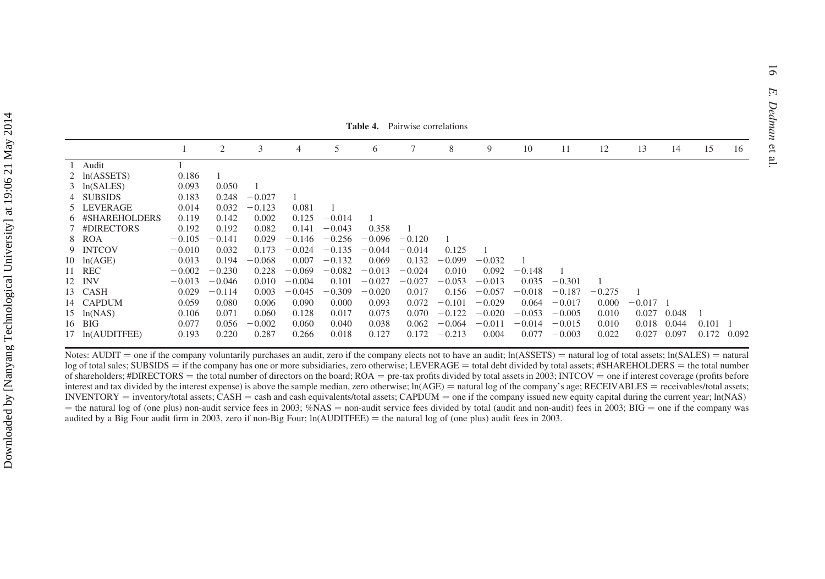<span id="page-17-0"></span>

|    |                 |          | 2        | 3        | 4        | 5        | 6        |          | 8        | 9        | 10       | 11       | 12       | 13       | 14    | 15              | -16 |
|----|-----------------|----------|----------|----------|----------|----------|----------|----------|----------|----------|----------|----------|----------|----------|-------|-----------------|-----|
|    | Audit           |          |          |          |          |          |          |          |          |          |          |          |          |          |       |                 |     |
|    | 2 $ln(ASSETS)$  | 0.186    |          |          |          |          |          |          |          |          |          |          |          |          |       |                 |     |
|    | $3 \ln(SALES)$  | 0.093    | 0.050    |          |          |          |          |          |          |          |          |          |          |          |       |                 |     |
|    | 4 SUBSIDS       | 0.183    | 0.248    | $-0.027$ |          |          |          |          |          |          |          |          |          |          |       |                 |     |
|    | 5 LEVERAGE      | 0.014    | 0.032    | $-0.123$ | 0.081    |          |          |          |          |          |          |          |          |          |       |                 |     |
|    | 6 #SHAREHOLDERS | 0.119    | 0.142    | 0.002    | 0.125    | $-0.014$ |          |          |          |          |          |          |          |          |       |                 |     |
|    | #DIRECTORS      | 0.192    | 0.192    | 0.082    | 0.141    | $-0.043$ | 0.358    |          |          |          |          |          |          |          |       |                 |     |
|    | 8 ROA           | $-0.105$ | $-0.141$ | 0.029    | $-0.146$ | $-0.256$ | $-0.096$ | $-0.120$ |          |          |          |          |          |          |       |                 |     |
|    | 9 INTCOV        | $-0.010$ | 0.032    | 0.173    | $-0.024$ | $-0.135$ | $-0.044$ | $-0.014$ | 0.125    |          |          |          |          |          |       |                 |     |
| 10 | ln(AGE)         | 0.013    | 0.194    | $-0.068$ | 0.007    | $-0.132$ | 0.069    | 0.132    | $-0.099$ | $-0.032$ |          |          |          |          |       |                 |     |
| 11 | REC             | $-0.002$ | $-0.230$ | 0.228    | $-0.069$ | $-0.082$ | $-0.013$ | $-0.024$ | 0.010    | 0.092    | $-0.148$ |          |          |          |       |                 |     |
| 12 | <b>INV</b>      | $-0.013$ | $-0.046$ | 0.010    | $-0.004$ | 0.101    | $-0.027$ | $-0.027$ | $-0.053$ | $-0.013$ | 0.035    | $-0.301$ |          |          |       |                 |     |
| 13 | <b>CASH</b>     | 0.029    | $-0.114$ | 0.003    | $-0.045$ | $-0.309$ | $-0.020$ | 0.017    | 0.156    | $-0.057$ | $-0.018$ | $-0.187$ | $-0.275$ |          |       |                 |     |
|    | 14 CAPDUM       | 0.059    | 0.080    | 0.006    | 0.090    | 0.000    | 0.093    | 0.072    | $-0.101$ | $-0.029$ | 0.064    | $-0.017$ | 0.000    | $-0.017$ |       |                 |     |
| 15 | ln(NAS)         | 0.106    | 0.071    | 0.060    | 0.128    | 0.017    | 0.075    | 0.070    | $-0.122$ | $-0.020$ | $-0.053$ | $-0.005$ | 0.010    | 0.027    | 0.048 |                 |     |
| 16 | BIG             | 0.077    | 0.056    | $-0.002$ | 0.060    | 0.040    | 0.038    | 0.062    | $-0.064$ | $-0.011$ | $-0.014$ | $-0.015$ | 0.010    | 0.018    | 0.044 | $0.101 \quad 1$ |     |
|    | ln(AUDITER)     | 0.193    | 0.220    | 0.287    | 0.266    | 0.018    | 0.127    | 0.172    | $-0.213$ | 0.004    | 0.077    | $-0.003$ | 0.022    | 0.027    | 0.097 | 0.172 0.092     |     |

Notes: AUDIT = one if the company voluntarily purchases an audit, zero if the company elects not to have an audit; ln(ASSETS) = natural log of total assets; ln(SALES) = natural log of total sales; SUBSIDS = if the company has one or more subsidiaries, zero otherwise; LEVERAGE = total debt divided by total assets; #SHAREHOLDERS = the total number of shareholders; #DIRECTORS = the total number of directors on the board;  $ROA = pre-tax$  profits divided by total assets in 2003; INTCOV = one if interest coverage (profits before interest and tax divided by the interest expense) is above the sample median, zero otherwise;  $\ln(AGE)$  = natural log of the company's age; RECEIVABLES = receivables/total assets; INVENTORY = inventory/total assets; CASH = cash and cash equivalents/total assets; CAPDUM = one if the company issued new equity capital during the current year; ln(NAS) = the natural log of (one plus) non-audit service fees in 2003;  $\%$ NAS = non-audit service fees divided by total (audit and non-audit) fees in 2003; BIG = one if the company was audited by a Big Four audit firm in 2003, zero if non-Big Four;  $\ln(AUDITEEE) =$  the natural log of (one plus) audit fees in 2003.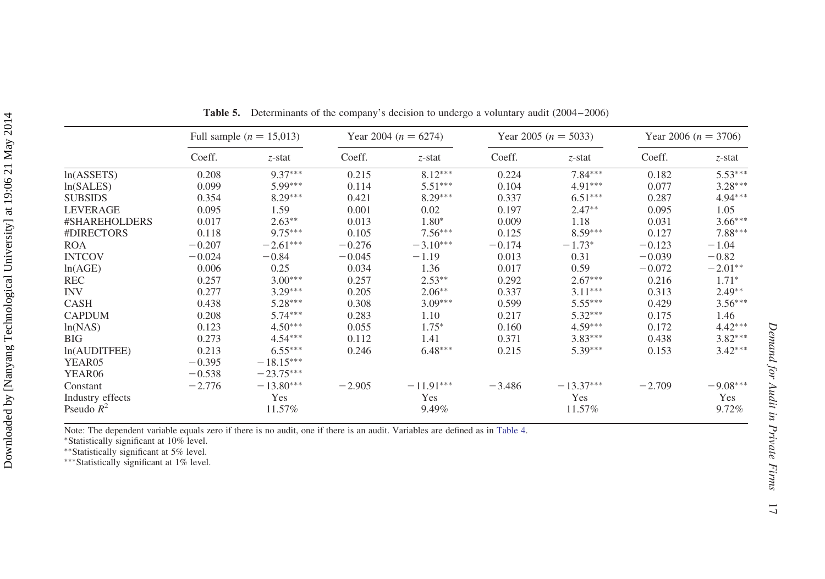<span id="page-18-0"></span>

|                    |          | Full sample $(n = 15,013)$ | Year 2004 ( $n = 6274$ ) |             |          | Year 2005 ( $n = 5033$ ) | Year 2006 ( $n = 3706$ ) |            |
|--------------------|----------|----------------------------|--------------------------|-------------|----------|--------------------------|--------------------------|------------|
|                    | Coeff.   | z-stat                     | Coeff.                   | $z$ -stat   | Coeff.   | z-stat                   | Coeff.                   | z-stat     |
| ln(ASSETS)         | 0.208    | $9.37***$                  | 0.215                    | $8.12***$   | 0.224    | $7.84***$                | 0.182                    | $5.53***$  |
| ln(SALES)          | 0.099    | 5.99***                    | 0.114                    | $5.51***$   | 0.104    | $4.91***$                | 0.077                    | $3.28***$  |
| <b>SUBSIDS</b>     | 0.354    | $8.29***$                  | 0.421                    | $8.29***$   | 0.337    | $6.51***$                | 0.287                    | $4.94***$  |
| <b>LEVERAGE</b>    | 0.095    | 1.59                       | 0.001                    | 0.02        | 0.197    | $2.47**$                 | 0.095                    | 1.05       |
| #SHAREHOLDERS      | 0.017    | $2.63***$                  | 0.013                    | 1.80*       | 0.009    | 1.18                     | 0.031                    | $3.66***$  |
| #DIRECTORS         | 0.118    | $9.75***$                  | 0.105                    | $7.56***$   | 0.125    | $8.59***$                | 0.127                    | $7.88***$  |
| <b>ROA</b>         | $-0.207$ | $-2.61***$                 | $-0.276$                 | $-3.10***$  | $-0.174$ | $-1.73*$                 | $-0.123$                 | $-1.04$    |
| <b>INTCOV</b>      | $-0.024$ | $-0.84$                    | $-0.045$                 | $-1.19$     | 0.013    | 0.31                     | $-0.039$                 | $-0.82$    |
| ln(AGE)            | 0.006    | 0.25                       | 0.034                    | 1.36        | 0.017    | 0.59                     | $-0.072$                 | $-2.01**$  |
| <b>REC</b>         | 0.257    | $3.00***$                  | 0.257                    | $2.53**$    | 0.292    | $2.67***$                | 0.216                    | $1.71*$    |
| <b>INV</b>         | 0.277    | $3.29***$                  | 0.205                    | $2.06**$    | 0.337    | $3.11***$                | 0.313                    | $2.49**$   |
| <b>CASH</b>        | 0.438    | $5.28***$                  | 0.308                    | $3.09***$   | 0.599    | $5.55***$                | 0.429                    | $3.56***$  |
| <b>CAPDUM</b>      | 0.208    | $5.74***$                  | 0.283                    | 1.10        | 0.217    | $5.32***$                | 0.175                    | 1.46       |
| ln(NAS)            | 0.123    | $4.50***$                  | 0.055                    | $1.75*$     | 0.160    | $4.59***$                | 0.172                    | $4.42***$  |
| <b>BIG</b>         | 0.273    | $4.54***$                  | 0.112                    | 1.41        | 0.371    | $3.83***$                | 0.438                    | $3.82***$  |
| ln(AUDITFEE)       | 0.213    | $6.55***$                  | 0.246                    | $6.48***$   | 0.215    | $5.39***$                | 0.153                    | $3.42***$  |
| YEAR <sub>05</sub> | $-0.395$ | $-18.15***$                |                          |             |          |                          |                          |            |
| YEAR06             | $-0.538$ | $-23.75***$                |                          |             |          |                          |                          |            |
| Constant           | $-2.776$ | $-13.80***$                | $-2.905$                 | $-11.91***$ | $-3.486$ | $-13.37***$              | $-2.709$                 | $-9.08***$ |
| Industry effects   |          | Yes                        |                          | Yes         |          | Yes                      |                          | Yes        |
| Pseudo $R^2$       |          | 11.57%                     |                          | 9.49%       |          | 11.57%                   |                          | 9.72%      |

**Table 5.** Determinants of the company's decision to undergo a voluntary audit (2004–2006)

Note: The dependent variable equals zero if there is no audit, one if there is an audit. Variables are defined as in [Table](#page-17-0) 4.

<sup>∗</sup>Statistically significant at 10% level.

∗∗Statistically significant at 5% level.

∗∗∗Statistically significant at 1% level.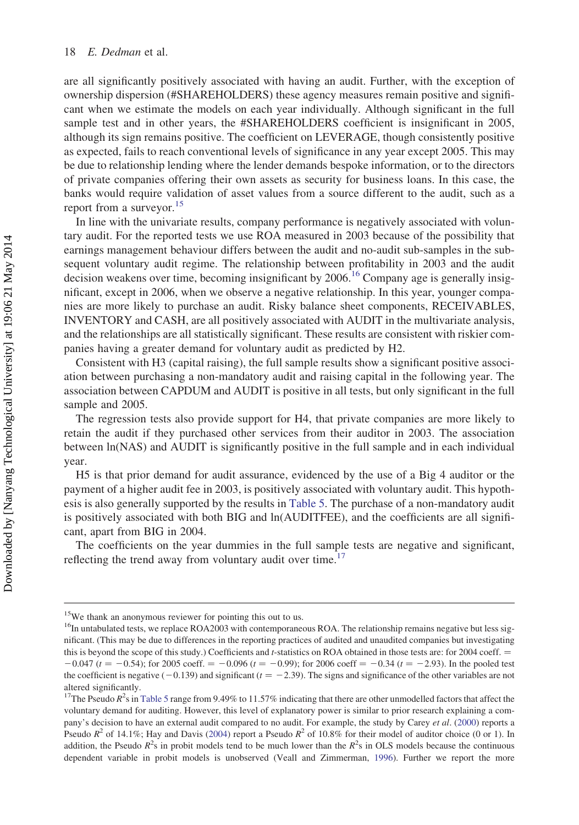are all significantly positively associated with having an audit. Further, with the exception of ownership dispersion (#SHAREHOLDERS) these agency measures remain positive and significant when we estimate the models on each year individually. Although significant in the full sample test and in other years, the #SHAREHOLDERS coefficient is insignificant in 2005, although its sign remains positive. The coefficient on LEVERAGE, though consistently positive as expected, fails to reach conventional levels of significance in any year except 2005. This may be due to relationship lending where the lender demands bespoke information, or to the directors of private companies offering their own assets as security for business loans. In this case, the banks would require validation of asset values from a source different to the audit, such as a report from a surveyor.<sup>15</sup>

In line with the univariate results, company performance is negatively associated with voluntary audit. For the reported tests we use ROA measured in 2003 because of the possibility that earnings management behaviour differs between the audit and no-audit sub-samples in the subsequent voluntary audit regime. The relationship between profitability in 2003 and the audit decision weakens over time, becoming insignificant by  $2006$ .<sup>16</sup> Company age is generally insignificant, except in 2006, when we observe a negative relationship. In this year, younger companies are more likely to purchase an audit. Risky balance sheet components, RECEIVABLES, INVENTORY and CASH, are all positively associated with AUDIT in the multivariate analysis, and the relationships are all statistically significant. These results are consistent with riskier companies having a greater demand for voluntary audit as predicted by H2.

Consistent with H3 (capital raising), the full sample results show a significant positive association between purchasing a non-mandatory audit and raising capital in the following year. The association between CAPDUM and AUDIT is positive in all tests, but only significant in the full sample and 2005.

The regression tests also provide support for H4, that private companies are more likely to retain the audit if they purchased other services from their auditor in 2003. The association between ln(NAS) and AUDIT is significantly positive in the full sample and in each individual year.

H5 is that prior demand for audit assurance, evidenced by the use of a Big 4 auditor or the payment of a higher audit fee in 2003, is positively associated with voluntary audit. This hypothesis is also generally supported by the results in [Table 5.](#page-18-0) The purchase of a non-mandatory audit is positively associated with both BIG and ln(AUDITFEE), and the coefficients are all significant, apart from BIG in 2004.

The coefficients on the year dummies in the full sample tests are negative and significant, reflecting the trend away from voluntary audit over time.<sup>17</sup>

<sup>&</sup>lt;sup>15</sup>We thank an anonymous reviewer for pointing this out to us.

<sup>&</sup>lt;sup>16</sup>In untabulated tests, we replace ROA2003 with contemporaneous ROA. The relationship remains negative but less significant. (This may be due to differences in the reporting practices of audited and unaudited companies but investigating this is beyond the scope of this study.) Coefficients and t-statistics on ROA obtained in those tests are: for  $2004 \text{ coeff.} =$  $-0.047$  (t = -0.54); for 2005 coeff. = -0.096 (t = -0.99); for 2006 coeff = -0.34 (t = -2.93). In the pooled test the coefficient is negative  $(-0.139)$  and significant  $(t = -2.39)$ . The signs and significance of the other variables are not altered significantly.

<sup>&</sup>lt;sup>17</sup>The Pseudo  $R^2$ s in [Table 5](#page-18-0) range from 9.49% to 11.57% indicating that there are other unmodelled factors that affect the voluntary demand for auditing. However, this level of explanatory power is similar to prior research explaining a com-pany's decision to have an external audit compared to no audit. For example, the study by Carey et al. ([2000\)](#page-23-0) reports a Pseudo  $R^2$  of 14.1%; Hay and Davis ([2004\)](#page-24-0) report a Pseudo  $R^2$  of 10.8% for their model of auditor choice (0 or 1). In addition, the Pseudo  $R^2$ s in probit models tend to be much lower than the  $R^2$ s in OLS models because the continuous dependent variable in probit models is unobserved (Veall and Zimmerman, [1996\)](#page-24-0). Further we report the more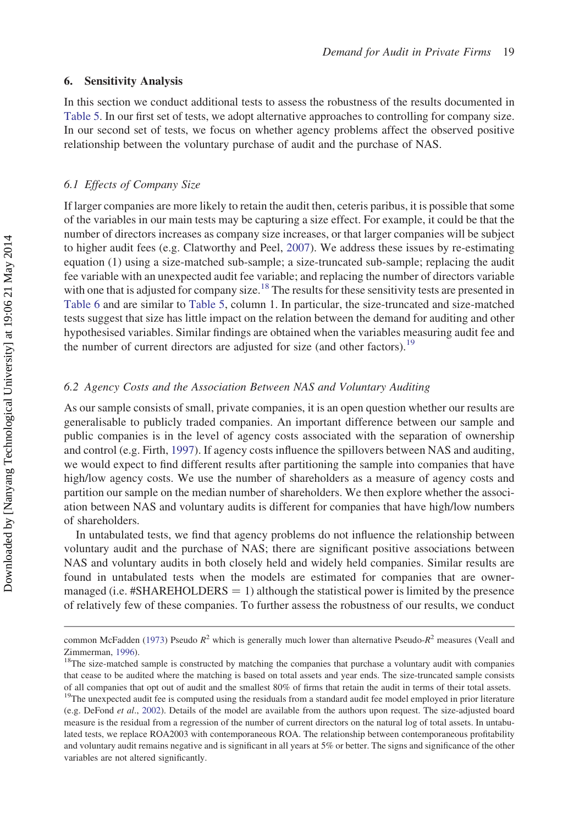#### 6. Sensitivity Analysis

In this section we conduct additional tests to assess the robustness of the results documented in [Table 5.](#page-18-0) In our first set of tests, we adopt alternative approaches to controlling for company size. In our second set of tests, we focus on whether agency problems affect the observed positive relationship between the voluntary purchase of audit and the purchase of NAS.

# 6.1 Effects of Company Size

If larger companies are more likely to retain the audit then, ceteris paribus, it is possible that some of the variables in our main tests may be capturing a size effect. For example, it could be that the number of directors increases as company size increases, or that larger companies will be subject to higher audit fees (e.g. Clatworthy and Peel, [2007](#page-23-0)). We address these issues by re-estimating equation (1) using a size-matched sub-sample; a size-truncated sub-sample; replacing the audit fee variable with an unexpected audit fee variable; and replacing the number of directors variable with one that is adjusted for company size.<sup>18</sup> The results for these sensitivity tests are presented in [Table 6](#page-21-0) and are similar to [Table 5,](#page-18-0) column 1. In particular, the size-truncated and size-matched tests suggest that size has little impact on the relation between the demand for auditing and other hypothesised variables. Similar findings are obtained when the variables measuring audit fee and the number of current directors are adjusted for size (and other factors).<sup>19</sup>

# 6.2 Agency Costs and the Association Between NAS and Voluntary Auditing

As our sample consists of small, private companies, it is an open question whether our results are generalisable to publicly traded companies. An important difference between our sample and public companies is in the level of agency costs associated with the separation of ownership and control (e.g. Firth, [1997\)](#page-23-0). If agency costs influence the spillovers between NAS and auditing, we would expect to find different results after partitioning the sample into companies that have high/low agency costs. We use the number of shareholders as a measure of agency costs and partition our sample on the median number of shareholders. We then explore whether the association between NAS and voluntary audits is different for companies that have high/low numbers of shareholders.

In untabulated tests, we find that agency problems do not influence the relationship between voluntary audit and the purchase of NAS; there are significant positive associations between NAS and voluntary audits in both closely held and widely held companies. Similar results are found in untabulated tests when the models are estimated for companies that are ownermanaged (i.e.  $\#SHAREHOLDERS = 1$ ) although the statistical power is limited by the presence of relatively few of these companies. To further assess the robustness of our results, we conduct

common McFadden [\(1973](#page-24-0)) Pseudo  $R^2$  which is generally much lower than alternative Pseudo- $R^2$  measures (Veall and

Zimmerman, [1996\)](#page-24-0).<br><sup>18</sup>The size-matched sample is constructed by matching the companies that purchase a voluntary audit with companies that cease to be audited where the matching is based on total assets and year ends. The size-truncated sample consists of all companies that opt out of audit and the smallest 80% of firms that retain the audit in terms of their total assets.

<sup>&</sup>lt;sup>19</sup>The unexpected audit fee is computed using the residuals from a standard audit fee model employed in prior literature (e.g. DeFond et al., [2002\)](#page-23-0). Details of the model are available from the authors upon request. The size-adjusted board measure is the residual from a regression of the number of current directors on the natural log of total assets. In untabulated tests, we replace ROA2003 with contemporaneous ROA. The relationship between contemporaneous profitability and voluntary audit remains negative and is significant in all years at 5% or better. The signs and significance of the other variables are not altered significantly.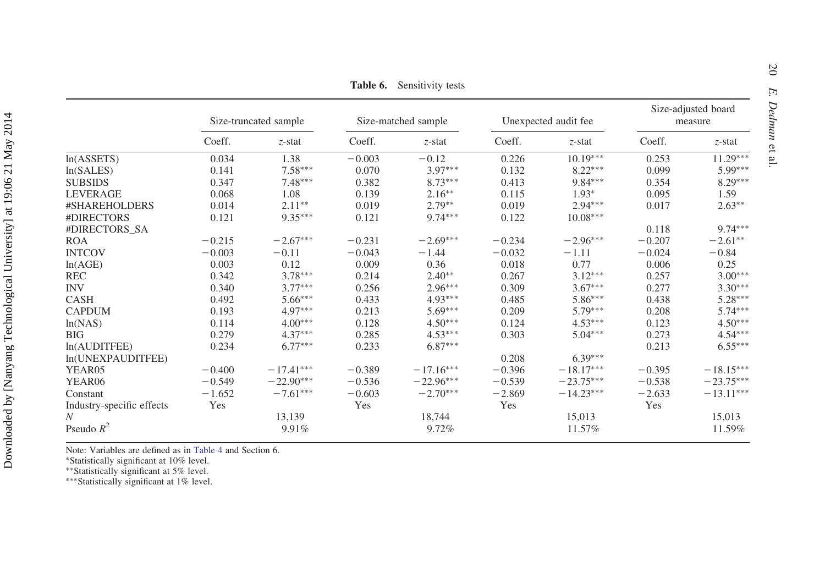<span id="page-21-0"></span>

|                           | Size-truncated sample |             | Size-matched sample |             |          | Unexpected audit fee | Size-adjusted board<br>measure |             |
|---------------------------|-----------------------|-------------|---------------------|-------------|----------|----------------------|--------------------------------|-------------|
|                           | Coeff.                | $z$ -stat   | Coeff.              | $z$ -stat   | Coeff.   | $z$ -stat            | Coeff.                         | $z$ -stat   |
| ln(ASSETS)                | 0.034                 | 1.38        | $-0.003$            | $-0.12$     | 0.226    | $10.19***$           | 0.253                          | $11.29***$  |
| ln(SALES)                 | 0.141                 | $7.58***$   | 0.070               | $3.97***$   | 0.132    | $8.22***$            | 0.099                          | 5.99***     |
| <b>SUBSIDS</b>            | 0.347                 | $7.48***$   | 0.382               | $8.73***$   | 0.413    | $9.84***$            | 0.354                          | $8.29***$   |
| <b>LEVERAGE</b>           | 0.068                 | 1.08        | 0.139               | $2.16***$   | 0.115    | $1.93*$              | 0.095                          | 1.59        |
| #SHAREHOLDERS             | 0.014                 | $2.11**$    | 0.019               | $2.79**$    | 0.019    | $2.94***$            | 0.017                          | $2.63**$    |
| #DIRECTORS                | 0.121                 | $9.35***$   | 0.121               | $9.74***$   | 0.122    | $10.08***$           |                                |             |
| #DIRECTORS_SA             |                       |             |                     |             |          |                      | 0.118                          | $9.74***$   |
| <b>ROA</b>                | $-0.215$              | $-2.67***$  | $-0.231$            | $-2.69***$  | $-0.234$ | $-2.96***$           | $-0.207$                       | $-2.61**$   |
| <b>INTCOV</b>             | $-0.003$              | $-0.11$     | $-0.043$            | $-1.44$     | $-0.032$ | $-1.11$              | $-0.024$                       | $-0.84$     |
| ln(AGE)                   | 0.003                 | 0.12        | 0.009               | 0.36        | 0.018    | 0.77                 | 0.006                          | 0.25        |
| <b>REC</b>                | 0.342                 | $3.78***$   | 0.214               | $2.40**$    | 0.267    | $3.12***$            | 0.257                          | $3.00***$   |
| <b>INV</b>                | 0.340                 | $3.77***$   | 0.256               | $2.96***$   | 0.309    | $3.67***$            | 0.277                          | $3.30***$   |
| <b>CASH</b>               | 0.492                 | $5.66***$   | 0.433               | $4.93***$   | 0.485    | $5.86***$            | 0.438                          | $5.28***$   |
| <b>CAPDUM</b>             | 0.193                 | $4.97***$   | 0.213               | $5.69***$   | 0.209    | $5.79***$            | 0.208                          | $5.74***$   |
| ln(NAS)                   | 0.114                 | $4.00***$   | 0.128               | $4.50***$   | 0.124    | $4.53***$            | 0.123                          | $4.50***$   |
| <b>BIG</b>                | 0.279                 | $4.37***$   | 0.285               | $4.53***$   | 0.303    | $5.04***$            | 0.273                          | $4.54***$   |
| ln(AUDITERE)              | 0.234                 | $6.77***$   | 0.233               | $6.87***$   |          |                      | 0.213                          | $6.55***$   |
| ln(UNEXPAUDITFEE)         |                       |             |                     |             | 0.208    | $6.39***$            |                                |             |
| YEAR05                    | $-0.400$              | $-17.41***$ | $-0.389$            | $-17.16***$ | $-0.396$ | $-18.17***$          | $-0.395$                       | $-18.15***$ |
| YEAR06                    | $-0.549$              | $-22.90***$ | $-0.536$            | $-22.96***$ | $-0.539$ | $-23.75***$          | $-0.538$                       | $-23.75***$ |
| Constant                  | $-1.652$              | $-7.61***$  | $-0.603$            | $-2.70***$  | $-2.869$ | $-14.23***$          | $-2.633$                       | $-13.11***$ |
| Industry-specific effects | Yes                   |             | Yes                 |             | Yes      |                      | Yes                            |             |
| $\overline{N}$            |                       | 13,139      |                     | 18,744      |          | 15,013               |                                | 15,013      |
| Pseudo $R^2$              |                       | 9.91%       |                     | 9.72%       |          | 11.57%               |                                | 11.59%      |

Note: Variables are defined as in [Table](#page-17-0) 4 and Section 6.

<sup>∗</sup>Statistically significant at 10% level.

∗∗Statistically significant at 5% level.

∗∗∗Statistically significant at 1% level.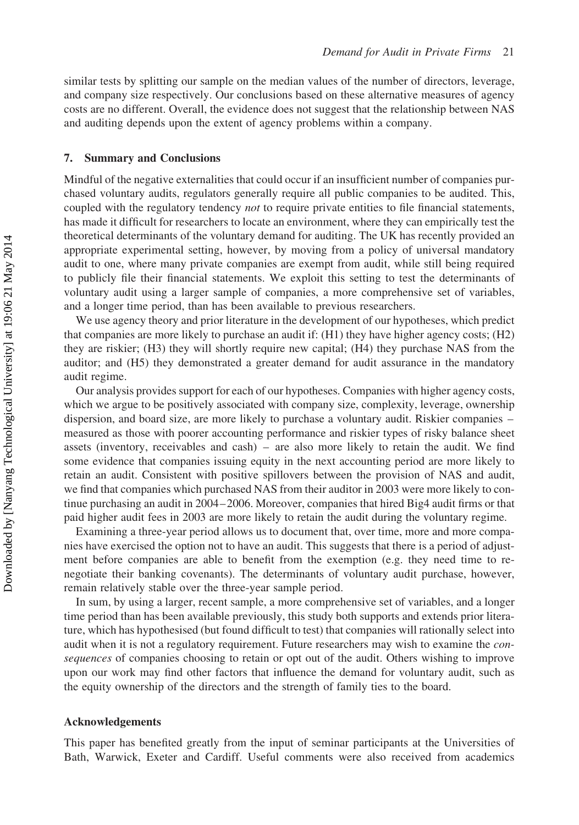similar tests by splitting our sample on the median values of the number of directors, leverage, and company size respectively. Our conclusions based on these alternative measures of agency costs are no different. Overall, the evidence does not suggest that the relationship between NAS and auditing depends upon the extent of agency problems within a company.

#### 7. Summary and Conclusions

Mindful of the negative externalities that could occur if an insufficient number of companies purchased voluntary audits, regulators generally require all public companies to be audited. This, coupled with the regulatory tendency *not* to require private entities to file financial statements, has made it difficult for researchers to locate an environment, where they can empirically test the theoretical determinants of the voluntary demand for auditing. The UK has recently provided an appropriate experimental setting, however, by moving from a policy of universal mandatory audit to one, where many private companies are exempt from audit, while still being required to publicly file their financial statements. We exploit this setting to test the determinants of voluntary audit using a larger sample of companies, a more comprehensive set of variables, and a longer time period, than has been available to previous researchers.

We use agency theory and prior literature in the development of our hypotheses, which predict that companies are more likely to purchase an audit if: (H1) they have higher agency costs; (H2) they are riskier; (H3) they will shortly require new capital; (H4) they purchase NAS from the auditor; and (H5) they demonstrated a greater demand for audit assurance in the mandatory audit regime.

Our analysis provides support for each of our hypotheses. Companies with higher agency costs, which we argue to be positively associated with company size, complexity, leverage, ownership dispersion, and board size, are more likely to purchase a voluntary audit. Riskier companies – measured as those with poorer accounting performance and riskier types of risky balance sheet assets (inventory, receivables and cash) – are also more likely to retain the audit. We find some evidence that companies issuing equity in the next accounting period are more likely to retain an audit. Consistent with positive spillovers between the provision of NAS and audit, we find that companies which purchased NAS from their auditor in 2003 were more likely to continue purchasing an audit in 2004– 2006. Moreover, companies that hired Big4 audit firms or that paid higher audit fees in 2003 are more likely to retain the audit during the voluntary regime.

Examining a three-year period allows us to document that, over time, more and more companies have exercised the option not to have an audit. This suggests that there is a period of adjustment before companies are able to benefit from the exemption (e.g. they need time to renegotiate their banking covenants). The determinants of voluntary audit purchase, however, remain relatively stable over the three-year sample period.

In sum, by using a larger, recent sample, a more comprehensive set of variables, and a longer time period than has been available previously, this study both supports and extends prior literature, which has hypothesised (but found difficult to test) that companies will rationally select into audit when it is not a regulatory requirement. Future researchers may wish to examine the consequences of companies choosing to retain or opt out of the audit. Others wishing to improve upon our work may find other factors that influence the demand for voluntary audit, such as the equity ownership of the directors and the strength of family ties to the board.

#### Acknowledgements

This paper has benefited greatly from the input of seminar participants at the Universities of Bath, Warwick, Exeter and Cardiff. Useful comments were also received from academics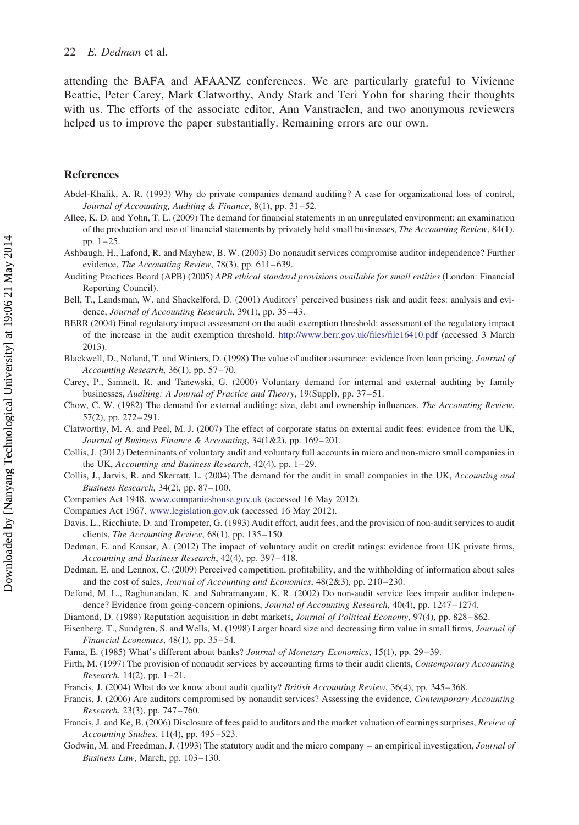<span id="page-23-0"></span>attending the BAFA and AFAANZ conferences. We are particularly grateful to Vivienne Beattie, Peter Carey, Mark Clatworthy, Andy Stark and Teri Yohn for sharing their thoughts with us. The efforts of the associate editor, Ann Vanstraelen, and two anonymous reviewers helped us to improve the paper substantially. Remaining errors are our own.

#### References

- Abdel-Khalik, A. R. (1993) Why do private companies demand auditing? A case for organizational loss of control, Journal of Accounting, Auditing & Finance,  $8(1)$ , pp. 31-52.
- Allee, K. D. and Yohn, T. L. (2009) The demand for financial statements in an unregulated environment: an examination of the production and use of financial statements by privately held small businesses, The Accounting Review, 84(1), pp.  $1 - 25$ .
- Ashbaugh, H., Lafond, R. and Mayhew, B. W. (2003) Do nonaudit services compromise auditor independence? Further evidence, The Accounting Review, 78(3), pp.  $611-639$ .
- Auditing Practices Board (APB) (2005) APB ethical standard provisions available for small entities (London: Financial Reporting Council).
- Bell, T., Landsman, W. and Shackelford, D. (2001) Auditors' perceived business risk and audit fees: analysis and evidence, Journal of Accounting Research, 39(1), pp. 35–43.
- BERR (2004) Final regulatory impact assessment on the audit exemption threshold: assessment of the regulatory impact of the increase in the audit exemption threshold. <http://www.berr.gov.uk/files/file16410.pdf> (accessed 3 March 2013).
- Blackwell, D., Noland, T. and Winters, D. (1998) The value of auditor assurance: evidence from loan pricing, Journal of Accounting Research, 36(1), pp. 57-70.
- Carey, P., Simnett, R. and Tanewski, G. (2000) Voluntary demand for internal and external auditing by family businesses, Auditing: A Journal of Practice and Theory, 19(Suppl), pp. 37–51.
- Chow, C. W. (1982) The demand for external auditing: size, debt and ownership influences, *The Accounting Review*, 57(2), pp. 272– 291.
- Clatworthy, M. A. and Peel, M. J. (2007) The effect of corporate status on external audit fees: evidence from the UK, Journal of Business Finance & Accounting, 34(1&2), pp. 169-201.
- Collis, J. (2012) Determinants of voluntary audit and voluntary full accounts in micro and non-micro small companies in the UK, Accounting and Business Research, 42(4), pp. 1-29.
- Collis, J., Jarvis, R. and Skerratt, L. (2004) The demand for the audit in small companies in the UK, Accounting and Business Research, 34(2), pp. 87–100.
- Companies Act 1948. [www.companieshouse.gov.uk](http://www.companieshouse.gov.uk) (accessed 16 May 2012).
- Companies Act 1967. [www.legislation.gov.uk](http://www.legislation.gov.uk) (accessed 16 May 2012).
- Davis, L., Ricchiute, D. and Trompeter, G. (1993) Audit effort, audit fees, and the provision of non-audit services to audit clients, The Accounting Review, 68(1), pp. 135-150.
- Dedman, E. and Kausar, A. (2012) The impact of voluntary audit on credit ratings: evidence from UK private firms, Accounting and Business Research, 42(4), pp. 397–418.
- Dedman, E. and Lennox, C. (2009) Perceived competition, profitability, and the withholding of information about sales and the cost of sales, *Journal of Accounting and Economics*, 48(2&3), pp. 210–230.
- Defond, M. L., Raghunandan, K. and Subramanyam, K. R. (2002) Do non-audit service fees impair auditor independence? Evidence from going-concern opinions, *Journal of Accounting Research*, 40(4), pp. 1247–1274.
- Diamond, D. (1989) Reputation acquisition in debt markets, Journal of Political Economy, 97(4), pp. 828 –862.
- Eisenberg, T., Sundgren, S. and Wells, M. (1998) Larger board size and decreasing firm value in small firms, Journal of Financial Economics, 48(1), pp. 35-54.
- Fama, E. (1985) What's different about banks? Journal of Monetary Economics, 15(1), pp. 29–39.
- Firth, M. (1997) The provision of nonaudit services by accounting firms to their audit clients, Contemporary Accounting *Research*,  $14(2)$ , pp.  $1-21$ .
- Francis, J. (2004) What do we know about audit quality? British Accounting Review, 36(4), pp. 345–368.
- Francis, J. (2006) Are auditors compromised by nonaudit services? Assessing the evidence, Contemporary Accounting Research, 23(3), pp. 747– 760.
- Francis, J. and Ke, B. (2006) Disclosure of fees paid to auditors and the market valuation of earnings surprises, Review of Accounting Studies, 11(4), pp. 495-523.
- Godwin, M. and Freedman, J. (1993) The statutory audit and the micro company an empirical investigation, Journal of Business Law, March, pp. 103-130.